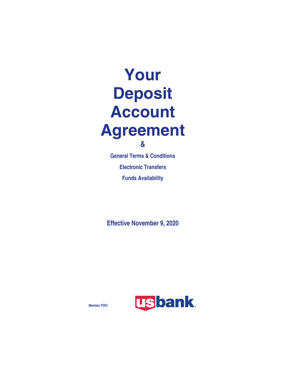# **Your Deposit Account Agreement &**

**General Terms & Conditions Electronic Transfers Funds Availability**

**Effective November 9, 2020**



**Member FDIC**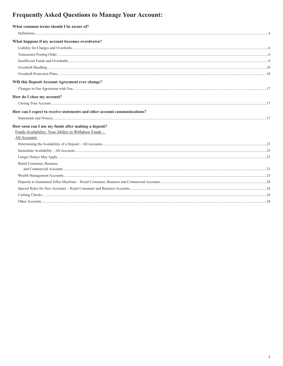## **Frequently Asked Questions to Manage Your Account:**

| What common terms should I be aware of?                                                                     |  |
|-------------------------------------------------------------------------------------------------------------|--|
|                                                                                                             |  |
| What happens if my account becomes overdrawn?                                                               |  |
|                                                                                                             |  |
|                                                                                                             |  |
|                                                                                                             |  |
|                                                                                                             |  |
|                                                                                                             |  |
| Will this Deposit Account Agreement ever change?                                                            |  |
|                                                                                                             |  |
| How do I close my account?                                                                                  |  |
|                                                                                                             |  |
| How can I expect to receive statements and other account communications?                                    |  |
|                                                                                                             |  |
| How soon can I use my funds after making a deposit?<br>Funds Availability: Your Ability to Withdraw Funds - |  |
| All Accounts                                                                                                |  |
|                                                                                                             |  |
|                                                                                                             |  |
|                                                                                                             |  |
| Retail Consumer, Business                                                                                   |  |
|                                                                                                             |  |
|                                                                                                             |  |
|                                                                                                             |  |
|                                                                                                             |  |
|                                                                                                             |  |
|                                                                                                             |  |
|                                                                                                             |  |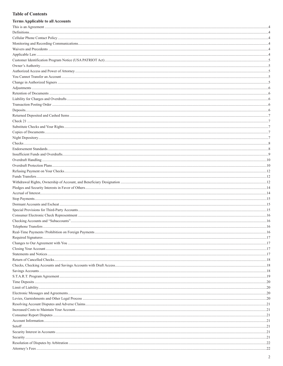## **Table of Contents**

| <b>Terms Applicable to all Accounts</b> |    |
|-----------------------------------------|----|
|                                         |    |
|                                         |    |
|                                         |    |
|                                         |    |
|                                         |    |
|                                         |    |
|                                         |    |
|                                         |    |
|                                         |    |
|                                         |    |
|                                         |    |
|                                         |    |
|                                         |    |
|                                         |    |
|                                         |    |
|                                         |    |
|                                         |    |
|                                         |    |
|                                         |    |
|                                         |    |
|                                         |    |
|                                         |    |
|                                         |    |
|                                         |    |
|                                         |    |
|                                         |    |
|                                         |    |
|                                         |    |
|                                         |    |
|                                         |    |
|                                         |    |
|                                         |    |
|                                         |    |
|                                         |    |
|                                         |    |
|                                         |    |
|                                         |    |
|                                         | 16 |
|                                         |    |
|                                         |    |
|                                         |    |
|                                         |    |
|                                         |    |
|                                         |    |
|                                         |    |
|                                         |    |
|                                         |    |
|                                         |    |
|                                         |    |
|                                         |    |
|                                         |    |
|                                         |    |
|                                         |    |
|                                         |    |
|                                         |    |
|                                         |    |
|                                         |    |
|                                         |    |
|                                         |    |
|                                         |    |
|                                         |    |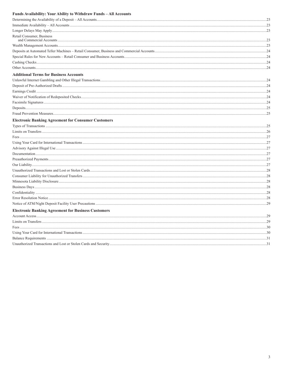## Funds Availability: Your Ability to Withdraw Funds - All Accounts

| Retail Consumer, Business                                  |     |
|------------------------------------------------------------|-----|
|                                                            |     |
|                                                            |     |
|                                                            |     |
|                                                            |     |
|                                                            |     |
| <b>Additional Terms for Business Accounts</b>              |     |
|                                                            |     |
|                                                            |     |
|                                                            |     |
|                                                            |     |
|                                                            |     |
|                                                            |     |
|                                                            |     |
| <b>Electronic Banking Agreement for Consumer Customers</b> |     |
|                                                            |     |
|                                                            |     |
|                                                            |     |
|                                                            |     |
|                                                            |     |
|                                                            |     |
|                                                            |     |
|                                                            |     |
|                                                            |     |
|                                                            |     |
|                                                            |     |
|                                                            |     |
|                                                            |     |
|                                                            |     |
|                                                            |     |
| <b>Electronic Banking Agreement for Business Customers</b> |     |
|                                                            |     |
|                                                            |     |
|                                                            |     |
|                                                            |     |
|                                                            |     |
|                                                            | .31 |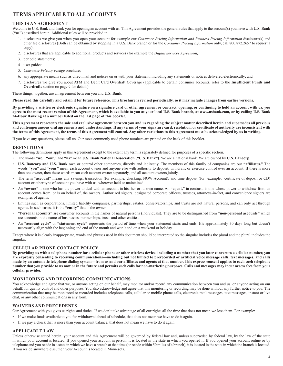## **TERMS APPLICABLE TO ALL ACCOUNTS**

## **THIS IS AN AGREEMENT**

Welcome to U.S. Bank and thank you for opening an account with us. This Agreement provides the general rules that apply to the account(s) you have with **U.S. Bank ("us")** described herein. Additional rules will be provided in:

- 1. disclosures we give you when you open your account for example our *Consumer Pricing Information and Business Pricing Information* disclosure(s) and other fee disclosures (Both can be obtained by stopping in a U.S. Bank branch or for the *Consumer Pricing Information* only, call 800.872.2657 to request a copy);
- 2. disclosures that are applicable to additional products and services (for example the *Digital Services Agreement);*
- 3. periodic statements;
- 4. user guides;
- 5. *Consumer Privacy Pledge* brochure;
- 6. any appropriate means such as direct mail and notices on or with your statement, including any statements or notices delivered electronically; and
- 7. disclosures we give you about ATM and Debit Card Overdraft Coverage (applicable to certain consumer accounts, refer to the **Insufficient Funds and Overdrafts** section on page 9 for details).

These things, together, are an agreement between you and **U.S. Bank.** 

**Please read this carefully and retain it for future reference. This brochure is revised periodically, so it may include changes from earlier versions.**

**By providing a written or electronic signature on a signature card or other agreement or contract, opening, or continuing to hold an account with us, you agree to the most recent version of this Agreement, which is available to you at your local U.S. Bank branch, at www.usbank.com, or by calling U.S. Bank 24-Hour Banking at a number listed on the last page of this booklet.** 

**This Agreement represents the sole and exclusive agreement between you and us regarding the subject matter described herein and supersedes all previous and contemporaneous oral agreements and understandings. If any terms of your signature card, resolution, or certificate of authority are inconsistent with the terms of this Agreement, the terms of this Agreement will control. Any other variations to this Agreement must be acknowledged by us in writing.**

If you have any questions, please call us. Our most commonly used phone numbers are printed on the back of this booklet.

#### **DEFINITIONS**

The following definitions apply in this Agreement except to the extent any term is separately defined for purposes of a specific section.

- The words **"we," "our,"** and **"us"** mean **U.S. Bank National Association ("U.S. Bank")**. We are a national bank. We are owned by **U.S. Bancorp**.
- **U.S. Bancorp and U.S. Bank** own or control other companies, directly and indirectly. The members of this family of companies are our **"affiliates."** The words "you" and "your" mean each account owner and anyone else with authority to deposit, withdraw, or exercise control over an account. If there is more than one owner, then these words mean each account owner separately, and all account owners jointly.
- The term **"account"** means any savings, transaction (for example, checking, NOW Account), and time deposit (for example, certificate of deposit or CD) account or other type of account you have with us, wherever held or maintained.
- An **"owner"** is one who has the power to deal with an account in his, her or its own name. An **"agent,"** in contrast, is one whose power to withdraw from an account comes from, or is on behalf of, the owners. Authorized signers, designated corporate officers, trustees, attorneys-in-fact, and convenience signers are examples of agents.
- Entities such as corporations, limited liability companies, partnerships, estates, conservatorships, and trusts are not natural persons, and can only act through agents. In such cases, it is the **"entity"** that is the owner.
- **"Personal accounts"** are consumer accounts in the names of natural persons (individuals). They are to be distinguished from **"non-personal accounts"** which are accounts in the name of businesses, partnerships, trusts and other entities.
- An **"account cycle"** or **"statement cycle"** represents the period of time when your statement starts and ends. It's approximately 30 days long but doesn't necessarily align with the beginning and end of the month and won't end on a weekend or holiday.

Except where it is clearly inappropriate, words and phrases used in this document should be interpreted so the singular includes the plural and the plural includes the singular.

## **CELLULAR PHONE CONTACT POLICY**

**By providing us with a telephone number for a cellular phone or other wireless device, including a number that you later convert to a cellular number, you are expressly consenting to receiving communications—including but not limited to prerecorded or artificial voice message calls, text messages, and calls made by an automatic telephone dialing system—from us and our affiliates and agents at that number. This express consent applies to each such telephone number that you provide to us now or in the future and permits such calls for non-marketing purposes. Calls and messages may incur access fees from your cellular provider.**

#### **MONITORING AND RECORDING COMMUNICATIONS**

You acknowledge and agree that we, or anyone acting on our behalf, may monitor and/or record any communication between you and us, or anyone acting on our behalf, for quality control and other purposes. You also acknowledge and agree that this monitoring or recording may be done without any further notice to you. The communication that may be monitored or recorded includes telephone calls, cellular or mobile phone calls, electronic mail messages, text messages, instant or live chat, or any other communications in any form.

#### **WAIVERS AND PRECEDENTS**

Our Agreement with you gives us rights and duties. If we don't take advantage of all our rights all the time that does not mean we lose them. For example:

- If we make funds available to you for withdrawal ahead of schedule, that does not mean we have to do it again.
- If we pay a check that is more than your account balance, that does not mean we have to do it again.

#### **APPLICABLE LAW**

Unless otherwise stated herein, your account and this Agreement will be governed by federal law and, unless superseded by federal law, by the law of the state in which your account is located. If you opened your account in person, it is located in the state in which you opened it. If you opened your account online or by telephone and you reside in a state in which we have a branch at that time (or reside within 50 miles of a branch), it is located in the state in which the branch is located. If you reside anywhere else, then your Account is located in Minnesota.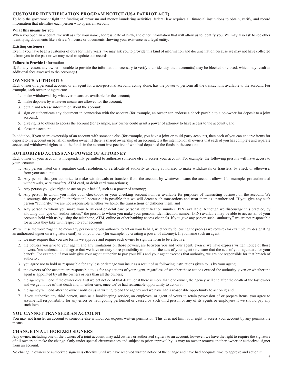## **CUSTOMER IDENTIFICATION PROGRAM NOTICE (USA PATRIOT ACT)**

To help the government fight the funding of terrorism and money laundering activities, federal law requires all financial institutions to obtain, verify, and record information that identifies each person who opens an account.

#### **What this means for you**

When you open an account, we will ask for your name, address, date of birth, and other information that will allow us to identify you. We may also ask to see other identifying documents like a driver's license or documents showing your existence as a legal entity.

#### **Existing customers**

Even if you have been a customer of ours for many years, we may ask you to provide this kind of information and documentation because we may not have collected it from you in the past or we may need to update our records.

#### **Failure to Provide Information**

If, for any reason, any owner is unable to provide the information necessary to verify their identity, their account(s) may be blocked or closed, which may result in additional fees assessed to the account(s).

## **OWNER'S AUTHORITY**

Each owner of a personal account, or an agent for a non-personal account, acting alone, has the power to perform all the transactions available to the account. For example, each owner or agent can:

- 1. make withdrawals by whatever means are available for the account;
- 2. make deposits by whatever means are allowed for the account;
- 3. obtain and release information about the account;
- 4. sign or authenticate any document in connection with the account (for example, an owner can endorse a check payable to a co-owner for deposit to a joint account);
- 5. give rights to others to access the account (for example, any owner could grant a power of attorney to have access to the account); and
- 6. close the account.

In addition, if you share ownership of an account with someone else (for example, you have a joint or multi-party account), then each of you can endorse items for deposit to the account on behalf of another owner. If there is shared ownership of an account, it is the intention of all owners that each of you has complete and separate access and withdrawal rights to all the funds in the account irrespective of who had deposited the funds in the account.

#### **AUTHORIZED ACCESS AND POWER OF ATTORNEY**

Each owner of your account is independently permitted to authorize someone else to access your account. For example, the following persons will have access to your account:

- 1. Any person listed on a signature card, resolution, or certificate of authority as being authorized to make withdrawals or transfers, by check or otherwise, from your account;
- 2. Any person that you authorize to make withdrawals or transfers from the account by whatever means the account allows (for example, pre-authorized withdrawals, wire transfers, ATM card, or debit card transactions);
- 3. Any person you give rights to act on your behalf, such as a power of attorney;
- 4. Any person to whom you make your checkbook or your checking account number available for purposes of transacting business on the account. We discourage this type of "authorization" because it is possible that we will detect such transactions and treat them as unauthorized. If you give any such person "authority," we are not responsible whether we honor the transactions or dishonor them; and
- 5. Any person to whom you make your ATM card or debit card personal identification number (PIN) available. Although we discourage this practice, by allowing this type of "authorization," the person to whom you make your personal identification number (PIN) available may be able to access all of your accounts held with us by using the telephone, ATM, online or other banking access channels. If you give any person such "authority," we are not responsible for actions they take with respect to your accounts.

We will use the word "agent" to mean any person who you authorize to act on your behalf, whether by following the process we require (for example, by designating an authorized signer on a signature card), or on your own (for example, by creating a power of attorney). If you name such an agent:

- 1. we may require that you use forms we approve and require each owner to sign the form to be effective;
- 2. the powers you give to your agent, and any limitations on those powers, are between you and your agent, even if we have express written notice of those powers. You understand and agree that we have no duty or responsibility to monitor the acts of your agent or ensure that the acts of your agent are for your benefit. For example, if you only give your agent authority to pay your bills and your agent exceeds that authority, we are not responsible for that breach of authority;
- 3. you agree not to hold us responsible for any loss or damage you incur as a result of us following instructions given to us by your agent;
- 4. the owners of the account are responsible to us for any actions of your agent, regardless of whether those actions exceed the authority given or whether the agent is appointed by all the owners or less than all the owners;
- 5. the agency will end if the owner dies **and** we get notice of that death, or if there is more than one owner, the agency will end after the death of the last owner and we get notice of that death and, in either case, once we've had reasonable opportunity to act on it;
- 6. the agency will end after the owner notifies us in writing to end the agency and we have had a reasonable opportunity to act on it; and
- 7. if you authorize any third person, such as a bookkeeping service, an employee, or agent of yours to retain possession of or prepare items, you agree to assume full responsibility for any errors or wrongdoing performed or caused by such third person or any of its agents or employees if we should pay any such item.

#### **YOU CANNOT TRANSFER AN ACCOUNT**

You may not transfer an account to someone else without our express written permission. This does not limit your right to access your account by any permissible means.

#### **CHANGE IN AUTHORIZED SIGNERS**

Any owner, including one of the owners of a joint account, may add owners or authorized signers to an account; however, we have the right to require the signature of all owners to make the change. Only under special circumstances and subject to prior approval by us may an owner remove another owner or authorized signer from an account.

No change in owners or authorized signers is effective until we have received written notice of the change and have had adequate time to approve and act on it.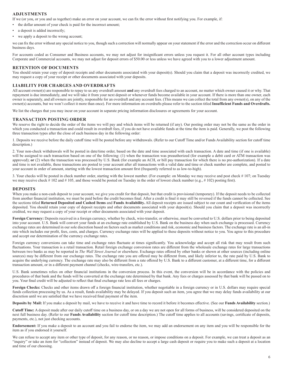## **ADJUSTMENTS**

If we (or you, or you and us together) make an error on your account, we can fix the error without first notifying you. For example, if:

- the dollar amount of your check is paid for the incorrect amount;
- a deposit is added incorrectly;
- we apply a deposit to the wrong account;

we can fix the error without any special notice to you, though such a correction will normally appear on your statement if the error and the correction occur on different business days.

For accounts coded as Consumer and Business accounts, we may not adjust for insignificant errors unless you request it. For all other account types including Corporate and Commercial accounts, we may not adjust for deposit errors of \$50.00 or less unless we have agreed with you to a lower adjustment amount.

#### **RETENTION OF DOCUMENTS**

You should retain your copy of deposit receipts and other documents associated with your deposit(s). Should you claim that a deposit was incorrectly credited, we may request a copy of your receipt or other documents associated with your deposits.

#### **LIABILITY FOR CHARGES AND OVERDRAFTS**

All account owner(s) are responsible to repay to us any overdraft amount **and** any overdraft fees charged to an account, no matter which owner caused it or why. That repayment is due immediately, and we will take it from your next deposit or whenever funds become available in your account. If there is more than one owner, each owner is separately, and all owners are jointly, responsible for an overdraft and any account fees. (This means we can collect the total from any owner(s), on any of the owner(s) accounts, but we won't collect it more than once). For more information on overdrafts please refer to the section titled **Insufficient Funds and Overdrafts.**

We list the charges that you may incur on your account in separate pricing information disclosures or agreements for your account.

#### **TRANSACTION POSTING ORDER**

We reserve the right to decide the order of the items we will pay and which items will be returned (if any). Our posting order may not be the same as the order in which you conducted a transaction and could result in overdraft fees, if you do not have available funds at the time the item is paid. Generally, we post the following three transaction types after the close of each business day in the following order:

1. Deposits we receive before the daily cutoff time will be posted before any withdrawals. (Refer to our Cutoff Time and/or Funds Availability section for cutoff time description.)

2. Your non-check withdrawals will be posted in date/time order, based on the date and time associated with each transaction. A date and time (if one is available) will be assigned to each transaction based on one of the following: (1) when the transaction was preauthorized (for example a debit card or ATM transaction was approved); or (2) when the transaction was processed by U.S. Bank (for example an ACH, or bill pay transaction for which there is no pre-authorization). If a date and time is not available, these transactions are posted to your account after all transactions with a valid date and time or check number are complete, and posted to your account in order of amount, starting with the lowest transaction amount first (frequently referred to as low-to-high).

3. Your checks will be posted in check number order, starting with the lowest number. (For example: on Monday we may receive and post check # 107; on Tuesday we may receive check # 102 and # 105, and those would be posted on Tuesday in the order of lowest check number (e.g., # 102) posting first).

#### **DEPOSITS**

When you make a non-cash deposit to your account, we give you credit for that deposit, but that credit is provisional (temporary). If the deposit needs to be collected from another financial institution, we must be paid before the credit becomes final. After a credit is final it may still be reversed if the funds cannot be collected. See the sections titled **Returned Deposited and Cashed Items** and **Funds Availability.** All deposit receipts are issued subject to our count and verification of the items deposited. You should retain your copy of deposit receipts and other documents associated with your deposit(s). Should you claim that a deposit was incorrectly credited, we may request a copy of your receipt or other documents associated with your deposit.

**Foreign Currency:** Deposits received in a foreign currency, whether by check, wire-transfer, or otherwise, must be converted to U.S. dollars prior to being deposited into your account. U.S. Bank will convert your funds at an exchange rate established by U.S. Bank on the business day when such exchange is processed. Currency exchange rates are determined in our sole discretion based on factors such as market conditions and risk, economic and business factors. The exchange rate is an all-in rate which includes our profit, fees, costs, and charges. Currency exchange rates will be applied to these deposits without notice to you. You agree to this procedure and accept our determination of the currency exchange rates.

Foreign currency conversions can take time and exchange rates fluctuate at times significantly. You acknowledge and accept all risk that may result from such fluctuations. Your transaction is a retail transaction. Retail foreign exchange conversion rates are different from the wholesale exchange rates for large transactions between two banks as may be reported in *The Wall Street Journal* or elsewhere. Exchange rates offered by other banks or shown at other sources (including online sources) may be different from our exchange rates. The exchange rate you are offered may be different from, and likely inferior to, the rate paid by U.S. Bank to acquire the underlying currency. The exchange rate may also be different from a rate offered by U.S. Bank to a different customer, at a different time, for a different transaction amount, or in a different payment channel (checks, wire-transfers, etc.).

U.S. Bank sometimes relies on other financial institutions in the conversion process. In this event, the conversion will be in accordance with the policies and procedures of that bank and the funds will be converted at the exchange rate determined by that bank. Any fees or charges assessed by that bank will be passed on to you. Your final credit will be adjusted to reflect that final exchange rate less all fees or charges.

**Foreign Checks:** Checks and other items drawn off a foreign financial institution, whether negotiable in a foreign currency or in U.S. dollars may require special funds collection processing by us. As a result, funds availability may be delayed. If you deposit such an item, you agree that we may delay funds availability at our discretion until we are satisfied that we have received final payment of the item.

**Deposits by Mail:** If you make a deposit by mail, we have to receive it and have time to record it before it becomes effective. (See our **Funds Availability** section.)

**Cutoff Time:** A deposit made after our daily cutoff time on a business day, or on a day we are not open for all forms of business, will be considered deposited on the next full business day. (Refer to our **Funds Availability** section for cutoff time description.) The cutoff time applies to all accounts (savings, certificate of deposits, payments, etc.), not just checking accounts.

**Endorsement:** If you make a deposit to an account and you fail to endorse the item, we may add an endorsement on any item and you will be responsible for the item as if you endorsed it yourself.

We can refuse to accept any item or other type of deposit, for any reason, or no reason, or impose conditions on a deposit. For example, we can treat a deposit as an "inquiry" or take an item for "collection" instead of deposit. We may also decline to accept a large cash deposit or require you to make such a deposit at a location and time of our choosing.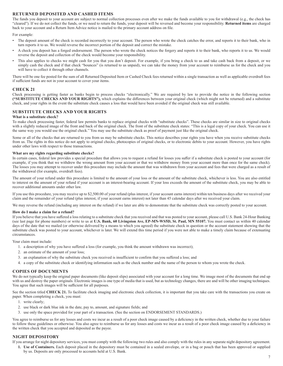## **RETURNED DEPOSITED AND CASHED ITEMS**

The funds you deposit to your account are subject to normal collection processes even after we make the funds available to you for withdrawal (e.g., the check has "cleared"). If we do not collect the funds, or we need to return the funds, your deposit will be reversed and become your responsibility. **Returned items** are charged back to your account and a Return Item Advice notice is mailed to the primary account address on file.

For example:

- The deposit amount of the check is recorded incorrectly to your account. The person who wrote the check catches the error, and reports it to their bank, who in turn reports it to us. We would reverse the incorrect portion of the deposit and correct the mistake.
- A check you deposit has a forged endorsement. The person who wrote the check notices the forgery and reports it to their bank, who reports it to us. We would reverse the deposit and collection of the check would become your responsibility.
- This also applies to checks we might cash for you that you don't deposit. For example, if you bring a check to us and take cash back from a deposit, or we simply cash the check and if that check "bounces" (is returned to us unpaid), we can take the money from your account to reimburse us for the check and you will have to collect it through other channels.

There will be one fee posted for the sum of all Returned Deposited Item or Cashed Check fees returned within a single transaction as well as applicable overdraft fees if sufficient funds are not in your account to cover your items.

#### **CHECK 21**

Check processing is getting faster as banks begin to process checks "electronically." We are required by law to provide the notice in the following section **("SUBSTITUTE CHECKS AND YOUR RIGHTS"),** which explains the differences between your original check (which might not be returned) and a substitute check, and your rights in the event the substitute check causes a loss that would have been avoided if the original check was still available.

## **SUBSTITUTE CHECKS AND YOUR RIGHTS**

#### **What is a substitute check?**

To make check processing faster, federal law permits banks to replace original checks with "substitute checks". These checks are similar in size to original checks with a slightly reduced image of the front and back of the original check. The front of the substitute check states: "This is a legal copy of your check. You can use it the same way you would use the original check." You may use the substitute check as proof of payment just like the original check.

Some or all of the checks that are returned to you from us may be substitute checks. This notice describes your rights you have when you receive substitute checks from us. The rights in this notice do not apply to original checks, photocopies of original checks, or to electronic debits to your account. However, you have rights under other laws with respect to those transactions.

#### **What are my rights regarding substitute checks?**

In certain cases, federal law provides a special procedure that allows you to request a refund for losses you suffer if a substitute check is posted to your account (for example, if you think that we withdrew the wrong amount from your account or that we withdrew money from your account more than once for the same check). The losses you may attempt to recover under this procedure may include the amount that was withdrawn from your account and fees that were charged as a result of the withdrawal (for example, overdraft fees).

The amount of your refund under this procedure is limited to the amount of your loss or the amount of the substitute check, whichever is less. You are also entitled to interest on the amount of your refund if your account is an interest-bearing account. If your loss exceeds the amount of the substitute check, you may be able to recover additional amounts under other law.

If you use this procedure, you may receive up to \$2,500.00 of your refund (plus interest, if your account earns interest) within ten business days after we received your claim and the remainder of your refund (plus interest, if your account earns interest) not later than 45 calendar days after we received your claim.

We may reverse the refund (including any interest on the refund) if we later are able to demonstrate that the substitute check was correctly posted to your account.

#### **How do I make a claim for a refund?**

If you believe that you have suffered a loss relating to a substitute check that you received and that was posted to your account, please call U.S. Bank 24-Hour Banking (see last page for phone numbers) or write to us at **U.S. Bank, 60 Livingston Ave, EP-MN-WS5D, St. Paul, MN 55107.** You must contact us within 40 calendar days of the date that we mailed (or otherwise delivered by a means to which you agreed) the substitute check in question or the account statement showing that the substitute check was posted to your account, whichever is later. We will extend this time period if you were not able to make a timely claim because of extenuating circumstances.

Your claim must include:

- 1. a description of why you have suffered a loss (for example, you think the amount withdrawn was incorrect);
- 2. an estimate of the amount of your loss;
- 3. an explanation of why the substitute check you received is insufficient to confirm that you suffered a loss; and
- 4. a copy of the substitute check or identifying information such as the check number and the name of the person to whom you wrote the check.

#### **COPIES OF DOCUMENTS**

We do not typically keep the original paper documents (like deposit slips) associated with your account for a long time. We image most of the documents that end up with us and destroy the paper originals. Electronic images is one type of media that is used, but as technology changes, there are and will be other imaging techniques. You agree that such images will be sufficient for all purposes.

See the section titled CHECK 21. To facilitate check imaging and electronic check collection, it is important that you take care with the transactions you create on paper. When completing a check, you must:

- 1. write clearly;
- 2. use black or dark blue ink in the date, pay to, amount, and signature fields; and
- 3. use only the space provided for your part of a transaction. (See the section on ENDORSEMENT STANDARDS.)

You agree to reimburse us for any losses and costs we incur as a result of a poor check image caused by a deficiency in the written check, whether due to your failure to follow these guidelines or otherwise. You also agree to reimburse us for any losses and costs we incur as a result of a poor check image caused by a deficiency in the written check that you accepted and deposited as the payee.

#### **NIGHT DEPOSITORY**

If you arrange for night depository services, you must comply with the following two rules and also comply with the rules in any separate night depository agreement.

**1. Use of Containers.** Each deposit placed in the depository must be contained in a sealed envelope, or in a bag or pouch that has been approved or supplied by us. Deposits are only processed to accounts held at U.S. Bank.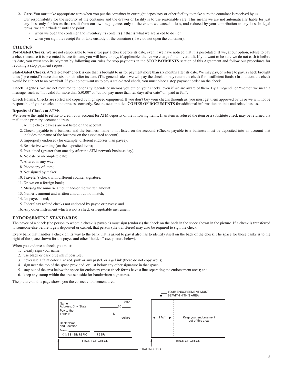- **2. Care.** You must take appropriate care when you put the container in our night depository or other facility to make sure the container is received by us. Our responsibility for the security of the container and the drawer or facility is to use reasonable care. This means we are not automatically liable for just any loss, only for losses that result from our own negligence, only to the extent we caused a loss, and reduced by your contribution to any loss. In legal terms, we are a "bailee" until the point:
	- when we open the container and inventory its contents (if that is what we are asked to do); or
	- when you sign the receipt for or take custody of the container (if we do not open the container).

#### **CHECKS**

Post-Dated Checks. We are not responsible to you if we pay a check before its date, even if we have noticed that it is post-dated. If we, at our option, refuse to pay a check because it is presented before its date, you will have to pay, if applicable, the fee we charge for an overdraft. If you want to be sure we do not cash it before its date, you must stop its payment by following our rules for stop payments in the **STOP PAYMENTS** section of this Agreement and follow our procedures for revoking a stop payment request.

Stale-Dated Checks. A "stale-dated" check is one that is brought to us for payment more than six months after its date. We may pay, or refuse to pay, a check brought to us ("presented") more than six months after its date. (The general rule is we will pay the check or may return the check for insufficient funds.) In addition, the check would be subject to an overdraft. If you do not want us to pay a stale-dated check, you must place a stop payment order on the check.

**Check Legends.** We are not required to honor any legends or memos you put on your checks, even if we are aware of them. By a "legend" or "memo" we mean a message, such as "not valid for more than \$50.00" or "do not pay more than ten days after date" or "paid in full".

**Check Forms.** Checks are sorted and copied by high speed equipment. If you don't buy your checks through us, you must get them approved by us or we will not be responsible if your checks do not process correctly. See the section titled **COPIES OF DOCUMENTS** for additional information on inks and related issues.

#### **Deposits of Checks at ATMs**

We reserve the right to refuse to credit your account for ATM deposits of the following items. If an item is refused the item or a substitute check may be returned via mail to the primary account address.

- 1. All the check payees are not listed on the account;
- 2.Checks payable to a business and the business name is not listed on the account. (Checks payable to a business must be deposited into an account that includes the name of the business on the associated account);
- 3.Improperly endorsed (for example, different endorser than payee);
- 4.Restrictive wording (on the deposited item);
- 5. Post-dated (greater than one day after the ATM network business day);
- 6. No date or incomplete date;
- 7. Altered in any way;
- 8. Photocopy of item;
- 9. Not signed by maker;
- 10. Traveler's check with different counter signature;
- 11. Drawn on a foreign bank;
- 12. Missing the numeric amount and/or the written amount;
- 13. Numeric amount and written amount do not match;
- 14. No payee listed;
- 15. Federal tax refund checks not endorsed by payee or payees; and
- 16. Any other instrument which is not a check or negotiable instrument.

#### **ENDORSEMENT STANDARDS**

The payee of a check (the person to whom a check is payable) must sign (endorse) the check on the back in the space shown in the picture. If a check is transferred to someone else before it gets deposited or cashed, that person (the transferee) may also be required to sign the check.

Every bank that handles a check on its way to the bank that is asked to pay it also has to identify itself on the back of the check. The space for those banks is to the right of the space shown for the payee and other "holders" (see picture below).

When you endorse a check, you must:

- 1. clearly sign your name;
- 2. use black or dark blue ink if possible;
- 3. never use a faint color, like red, pink or any pastel, or a gel ink (these do not copy well);
- 4. sign near the top of the space provided, or just below any other signature in that space;
- 5. stay out of the area below the space for endorsers (most check forms have a line separating the endorsement area); and
- 6. keep any stamp within the area set aside for handwritten signatures.

The picture on this page shows you the correct endorsement area.

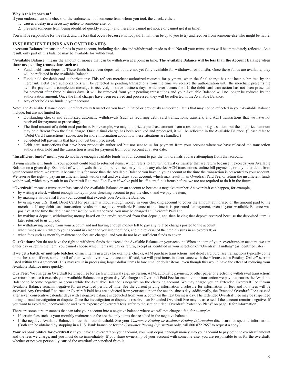#### **Why is this important?**

If your endorsement of a check, or the endorsement of someone from whom you took the check, either:

- 1. causes a delay in a necessary notice to someone else, or
- 2. prevents someone from being identified quickly enough (and therefore cannot get notice or cannot get it in time).

You will be responsible for the check and the loss that occurs because it is not paid. It will then be up to you to try and recover from someone else who might be liable.

#### **INSUFFICIENT FUNDS AND OVERDRAFTS**

**"Account Balance"** means the funds in your account, including deposits and withdrawals made to date. Not all your transactions will be immediately reflected. As a result, only part of this balance may be available for withdrawal.

**"Available Balance"** means the amount of money that can be withdrawn at a point in time. **The Available Balance will be less than the Account Balance when there are pending transactions such as:**

- Funds held from deposits: These funds have been deposited but are not yet fully available for withdrawal or transfer. Once these funds are available, they will be reflected in the Available Balance.
- Funds held for debit card authorizations: This reflects merchant-authorized requests for payment, when the final charge has not been submitted by the merchant. Debit card authorizations will be reflected as pending transactions from the time we receive the authorization until the merchant presents the item for payment, a completion message is received, or three business days, whichever occurs first. If the debit card transaction has not been presented for payment after three business days, it will be removed from your pending transactions and your Available Balance will no longer be reduced by the authorization amount. Once the final charges have been received and processed, they will be reflected in the Available Balance.
- Any other holds on funds in your account.

Note: The Available Balance does *not* reflect every transaction you have initiated or previously authorized. Items that may not be reflected in your Available Balance include, but are not limited to:

- Outstanding checks and authorized automatic withdrawals (such as recurring debit card transactions, transfers, and ACH transactions that we have not received for payment or processing).
- The final amount of a debit card purchase. For example, we may authorize a purchase amount from a restaurant or a gas station, but the authorized amount may be different from the final charge. Once a final charge has been received and processed, it will be reflected in the Available Balance. (Please refer to "Debit Card Transactions" subsection for more information about how these situations are handled.)
- Scheduled bill payments that have not yet been processed.
- Debit card transactions that have been previously authorized but not sent to us for payment from your account where we have released the transaction authorization hold and the transaction is sent for payment from your account at a later date.

**"Insufficient funds"** means you do not have enough available funds in your account to pay the withdrawals you are attempting from that account.

Having insufficient funds in your account could lead to returned items, which refers to any withdrawal or transfer that we return because it exceeds your Available Balance on a given day. Examples of withdrawals that could be returned may include any checks, ACH transactions, online bill payments, or any other debit from your account where we return it because it is for more than the Available Balance you have in your account at the time the transaction is presented to your account. We reserve the right to pay an insufficient funds withdrawal and overdraw your account, which may result in an Overdraft Paid Fee, or return the insufficient funds withdrawal, which may result in an Overdraft Returned Fee. Even if we've paid insufficient funds items before, we are not required to do it in the future.

**"Overdraft"** means a transaction has caused the Available Balance on an account to become a negative number. An overdraft can happen, for example,

- by writing a check without enough money in your checking account to pay the check, and we pay the item;
- by making a withdrawal from your account that exceeds your Available Balance;
- by using your U.S. Bank Debit Card for payment without enough money in your checking account to cover the amount authorized or the amount paid to the merchant. If any debit card transaction results in a negative Available Balance at the time it is presented for payment, even if your Available Balance was positive at the time the debit card transaction was authorized, you may be charged an Overdraft Paid Fee;
- by making a deposit, withdrawing money based on the credit received from that deposit, and then having that deposit reversed because the deposited item is later returned to us unpaid;
- by withdrawing money from your account and not having enough money left to pay any related charges posted to the account;
- when funds are credited to your account in error and you use the funds, and the reversal of the credit results in an overdraft; or
- when fees such as monthly maintenance fees are charged, and you do not have sufficient funds to cover.

**Our Options:** You do not have the right to withdraw funds that exceed the Available Balance on your account. When an item of yours overdraws an account, we can either pay or return the item. You cannot choose which items we pay or return, except as identified in your selection of "Overdraft Handling" (as identified later).

If we get a **batch, or multiple batches,** of such items in a day (for example, checks, ATM purchase transactions, and debit card purchase transactions typically come in batches), and if one, some or all of them would overdraw the account if paid, we will post items in accordance with the **"Transaction Posting Order"** section listed within this Agreement. This may result in processing larger dollar items before smaller dollar items, even though this would have the effect of reducing your Available Balance more quickly.

**Our Fees:** We charge an Overdraft Returned Fee for each withdrawal (e.g., in-person, ATM, automatic payment, or other paper or electronic withdrawal transaction) we return because it exceeds your Available Balance on a given day. We charge an Overdraft Paid Fee for each item or transaction we pay that causes the Available Balance to become negative or occurs while the Available Balance is negative on the checking account. We may charge you an Extended Overdraft Fee if your Available Balance remains negative for an extended period of time. See the current pricing information disclosure for information on fees and how fees will be assessed. Any Overdraft Returned or Overdraft Paid fees are deducted from your account on the next business day; additionally, the Extended Overdraft Fee assessed after seven consecutive calendar days with a negative balance is deducted from your account on the next business day. The Extended Overdraft Fee may be suspended during a fraud investigation or dispute. Once the investigation or dispute is resolved, an Extended Overdraft Fee may be assessed if the account remains negative. If you want to avoid the inconvenience and extra expense of overdraft fees, refer to the section titled "Overdraft Protection Plans" on page 10 for information.

There are some circumstances that can take your account into a negative balance where we will not charge a fee, for example:

- If certain fees such as your monthly maintenance fee are the only items that resulted in the negative balance.
- If the negative Available Balance is less than our threshold. See your *Consumer Pricing or Business Pricing Information* disclosure for specific information. (Both can be obtained by stopping in a U.S. Bank branch or for the *Consumer Pricing Information* only, call 800.872.2657 to request a copy.)

Your responsibilities for overdrafts: If you have an overdraft on your account, you must deposit enough money into your account to pay both the overdraft amount and the fees we charge, and you must do so immediately. If you share ownership of your account with someone else, you are responsible to us for the overdraft, whether or not you personally caused the overdraft or benefited from it.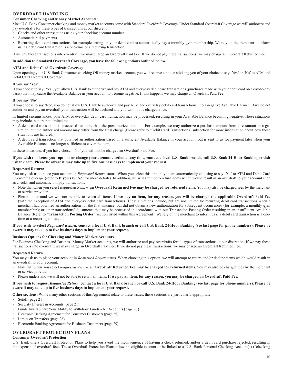## **OVERDRAFT HANDLING**

#### **Consumer Checking and Money Market Accounts:**

Most U.S. Bank Consumer checking and money market accounts come with Standard Overdraft Coverage. Under Standard Overdraft Coverage we will authorize and pay overdrafts for these types of transactions at our discretion:

- Checks and other transactions using your checking account number
- Automatic bill payments
- Recurring debit card transactions, for example setting up your debit card to automatically pay a monthly gym membership. We rely on the merchant to inform us if a debit card transaction is a one-time or a recurring transaction.

If we pay these transactions into overdraft, we may charge an Overdraft Paid Fee. If we do not pay these transactions, we may charge an Overdraft Returned Fee.

#### **In addition to Standard Overdraft Coverage, you have the following options outlined below.**

#### **ATM and Debit Card Overdraft Coverage:**

Upon opening your U.S. Bank Consumer checking OR money market account, you will receive a notice advising you of your choice to say 'Yes' or 'No' to ATM and Debit Card Overdraft Coverage.

#### **If you say 'Yes'**

If you choose to say 'Yes', you allow U.S. Bank to authorize and pay ATM and everyday debit card transactions (purchases made with your debit card on a day-to-day basis) that may cause the Available Balance in your account to become negative. If this happens we may charge an Overdraft Paid Fee.

#### **If you say 'No'**

If you choose to say 'No', you do not allow U.S. Bank to authorize and pay ATM and everyday debit card transactions into a negative Available Balance. If we do not authorize and pay an overdraft your transaction will be declined and you will not be charged a fee.

In limited circumstances, your ATM or everyday debit card transaction may be processed, resulting in your Available Balance becoming negative. These situations may include, but are not limited to:

- A debit card transaction is processed for more than the preauthorized amount. For example, we may authorize a purchase amount from a restaurant or a gas station, but the authorized amount may differ from the final charge (Please refer to "Debit Card Transactions" subsection for more information about how these situations are handled.);
- A debit card transaction that obtained an authorization based on a sufficient Available Balance in your account, but is sent to us for payment later when your Available Balance is no longer sufficient to cover the item;

In these situations, if you have chosen 'No' you will not be charged an Overdraft Paid Fee.

#### **If you wish to discuss your options or change your account election at any time, contact a local U.S. Bank branch, call U.S. Bank 24-Hour Banking or visit usbank.com. Please be aware it may take up to five business days to implement your request.**

#### **Requested Return:**

You may ask us to place your account in *Requested Return* status. When you select this option, you are automatically choosing to say **'No'** to ATM and Debit Card Overdraft Coverage (refer to **If you say 'No'** for more details). In addition, we will attempt to return items which would result in an overdraft to your account such as checks, and automatic bill pay transactions.

- Note that when you select *Requested Return,* **an Overdraft Returned Fee may be charged for returned items.** You may also be charged fees by the merchant or service provider.
- Please understand we will not be able to return all items. **If we pay an item, for any reason, you will be charged the applicable Overdraft Paid Fee** (with the exception of ATM and everyday debit card transactions). These situations include, but are not limited to: recurring debit card transactions when a merchant had obtained an authorization for the first instance, but did not obtain a new authorization for subsequent occurrences (for example, a monthly gym membership); or other transactions/adjustments that may be processed in accordance with our Transaction Posting Order resulting in an insufficient Available Balance (Refer to **"Transaction Posting Order"** section listed within this Agreement). We rely on the merchant to inform us if a debit card transaction is a onetime or a recurring transaction.

#### **If you wish to select** *Requested Return,* **contact a local U.S. Bank branch or call U.S. Bank 24-Hour Banking (see last page for phone numbers). Please be aware it may take up to five business days to implement your request.**

#### **Business Options for Checking and Money Market Accounts**

For Business Checking and Business Money Market accounts, we will authorize and pay overdrafts for all types of transactions at our discretion. If we pay these transactions into overdraft, we may charge an Overdraft Paid Fee. If we do not pay these transactions, we may charge an Overdraft Returned Fee.

#### **Requested Return**

You may ask us to place your account in *Requested Return* status. When choosing this option, we will attempt to return and/or decline items which would result in an overdraft to your account.

- Note that when you select *Requested Return,* an **Overdraft Returned Fee may be charged for returned items.** You may also be charged fees by the merchant or service provider.
- Please understand we will not be able to return all items. **If we pay an item, for any reason, you may be charged an Overdraft Paid Fee.**

#### **If you wish to request** *Requested Return,* **contact a local U.S. Bank branch or call U.S. Bank 24-Hour Banking (see last page for phone numbers). Please be aware it may take up to five business days to implement your request.**

**Other sections:** While many other sections of this Agreement relate to these issues, these sections are particularly appropriate:

- Setoff (page 21)
- Security Interest in Accounts (page 21)
- Funds Availability: Your Ability to Withdraw Funds All Accounts (page 23)
- Electronic Banking Agreement for Consumer Customers (page 25)
- Limits on Transfers (page 26)
- Electronic Banking Agreement for Business Customers (page 29)

#### **OVERDRAFT PROTECTION PLANS**

#### **Consumer Overdraft Protection**

U.S. Bank offers Overdraft Protection Plans to help you avoid the inconvenience of having a check returned, and/or a debit card purchase rejected, resulting in the expense of overdraft fees. These Overdraft Protection Plans allow an eligible account to be linked to a U.S. Bank Personal Checking Account(s) ("checking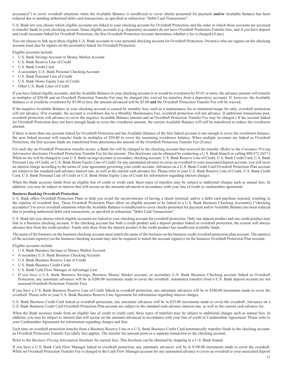account(s)") to cover overdraft situations when the Available Balance is insufficient to cover checks presented for payment **and/or** Available Balance has been reduced due to pending authorized debit card transactions, as specified in subsection "Debit Card Transactions".

U.S. Bank lets you choose which eligible accounts are linked to your checking account for Overdraft Protection, and the order in which those accounts are accessed to transfer funds to your checking account. Some eligible accounts (e.g. depository accounts) do not have Overdraft Protection Transfer fees, and if you have deposit and credit accounts linked for Overdraft Protection, the first Overdraft Protection Account determines whether a fee is charged (if any).

You can choose to link up to three eligible U.S. Bank accounts to your personal checking account for Overdraft Protection. Owner(s) who are signers on the checking account must also be signers on the account(s) linked for Overdraft Protection.

Eligible accounts include:

- U.S. Bank Savings Account or Money Market Account
- U.S. Bank Reserve Line of Credit
- U.S. Bank Credit Card
- A secondary U.S. Bank Personal Checking Account
- U.S. Bank Personal Line of Credit
- U.S. Bank Home Equity Line of Credit
- Other U.S. Bank Lines of Credit

If you have linked eligible accounts, and the Available Balance in your checking account is or would be overdrawn by \$5.01 or more, the advance amount will transfer in multiples of \$50.00 and an Overdraft Protection Transfer Fee may be charged (fee waived for transfers from a depository account). If, however, the Available Balance is or would be overdrawn by \$5.00 or less, the amount advanced will be \$5.00 **and** the Overdraft Protection Transfer Fee will be waived.

If the negative Available Balance in your checking account is caused by monthly fees, such as a maintenance fee or statement/image fee only, overdraft protection will not advance. (For example, the account is overdrawn due to a Monthly Maintenance Fee, overdraft protection will not advance. If additional transactions post, overdraft protection will advance to cover the negative Available Balance amount and an Overdraft Protection Transfer Fee may be charged.) If the account linked for Overdraft Protection does not have enough funds to cover the overdrawn amount, the current Available Balance will still be transferred to reduce the overdrawn amount.

If there is more than one account linked for Overdraft Protection and the Available Balance of the first linked account is not enough to cover the overdrawn balance, the next linked account will transfer funds in multiples of \$50.00 to cover the remaining overdrawn balance. When multiple accounts are linked as Overdraft Protection, the first account funds are transferred from determines the amount of the Overdraft Protection Transfer Fee (if any).

For each day an Overdraft Protection transfer occurs, a Bank fee will be charged to the checking account that received the transfer. (Refer to the *Consumer Pricing Information* disclosure Overdraft Protection Transfer Fee for fee amount. This disclosure can be obtained by contacting a U.S. Bank branch or calling 800.872.2657.) While no fee will be charged to your U.S. Bank savings account or secondary checking account, U.S. Bank Reserve Line of Credit, U.S. Bank Credit Card, U.S. Bank Personal Line of Credit, or U.S. Bank Home Equity Line of Credit, for any automated advance to cover an overdraft to your associated deposit account, you will incur an interest charge according to the terms of your agreement governing your credit account. Advances on a U.S. Bank Credit Card Overdraft Protection Plan account are subject to the standard cash advance interest rate, as well as the current cash advance fee. Please refer to your U.S. Bank Reserve Line of Credit, U.S. Bank Credit Card, U.S. Bank Personal Line of Credit or U.S. Bank Home Equity Line of Credit for information regarding interest charges.

When the Bank accesses funds from an eligible line of credit or credit card, these types of transfers may be subject to additional charges such as annual fees. In addition, you may be subject to interest that will accrue on the amounts advanced in accordance with your line of credit or cardmember agreement.

#### **Business Banking Overdraft Protection**

U.S. Bank offers Overdraft Protection Plans to help you avoid the inconvenience of having a check returned, and/or a debit card purchase rejected, resulting in the expense of overdraft fees. These Overdraft Protection Plans allow an eligible account to be linked to a U.S. Bank Business Checking Account(s) ("checking account(s)") to cover overdraft situations when the Available Balance is insufficient to cover checks presented for payment and/or Available Balance has been reduced due to pending authorized debit card transactions, as specified in subsection "Debit Card Transactions".

U.S. Bank lets you choose which eligible accounts are linked to your checking account for overdraft protection. Only one deposit product and one credit product may link to a business checking account. If the checking account has both a credit product and a deposit product linked as overdraft protection, the system will always advance first from the credit product. Funds only draw from the deposit product if the credit product has insufficient available funds.

The name of the business on the business checking account must match the name of the business on the business credit overdraft protection plan account. The name(s) of the account signer(s) on the business checking account may also be required to match the account signer(s) on the business Overdraft Protection Plan account.

Eligible accounts include:

- U.S. Bank Business Savings or Money Market Account
- A secondary U.S. Bank Business Checking Account
- U.S. Bank Business Reserve Line of Credit
- U.S. Bank Business Credit Cards
- U.S. Bank Cash Flow Manager or Advantage Line
- If you have a U.S. Bank Business Savings, Business Money Market account, or secondary U.S. Bank Business Checking account linked as Overdraft Protection, any automatic advances will be in \$200.00 increments made to cover the overdraft. Automated transfers from a U.S. Bank deposit account are not assessed Overdraft Protection Transfer Fees.

If you have a U.S. Bank Business Reserve Line of Credit linked as overdraft protection, any automatic advances will be in \$200.00 increments made to cover the overdraft. Please refer to your U.S. Bank Business Reserve Line Agreement for information regarding interest charges.

U.S. Bank Business Credit Card linked as overdraft protection, any automatic advances will be in \$25.00 increments made to cover the overdraft. Advances on a U.S. Bank Business Credit Card Overdraft Protection Plan account are subject to the standard cash advance interest rate, as well as the current cash advance fee.

When the Bank accesses funds from an eligible line of credit or credit card, these types of transfers may be subject to additional charges such as annual fees. In addition, you may be subject to interest that will accrue on the amounts advanced in accordance with your line of credit or Cardmember Agreement. Please refer to your Cardmember Agreement for information regarding charges and fees.

Each time an overdraft protection transfer from a Business Reserve Line or a U.S. Bank Business Credit Card automatically transfers funds to the checking account, an Overdraft Protection Transfer Fee (daily fee) applies. The transfer fee amount posts as a separate transaction to the checking account.

Refer to the *Business Pricing Information* brochure for current fees. This brochure can be obtained by stopping in a U.S. Bank branch.

If you have a U.S. Bank Cash Flow Manager linked as overdraft protection, any automatic advances will be in \$100.00 increments made to cover the overdraft. While no Overdraft Protection Transfer Fee is charged to the Cash Flow Manager account for any automated advance to cover an overdraft to your associated deposit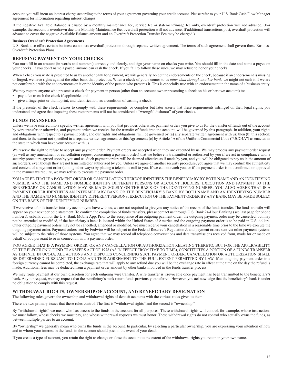account, you will incur an interest charge according to the terms of your agreement governing your credit account. Please refer to your U.S. Bank Cash Flow Manager agreement for information regarding interest charges.

If the negative Available Balance is caused by a monthly maintenance fee, service fee or statement/image fee only, overdraft protection will not advance. (For example, the account is overdrawn due to a Monthly Maintenance fee, overdraft protection will not advance. If additional transactions post, overdraft protection will advance to cover the negative Available Balance amount and an Overdraft Protection Transfer Fee may be charged.)

#### **Business Overdraft Protection Agreements**

U.S. Bank also offers certain business customers overdraft protection through separate written agreement. The terms of such agreement shall govern those Business Overdraft Protection Plans.

## **REFUSING PAYMENT ON YOUR CHECKS**

You must fill in an amount (in words and numbers) correctly and clearly, and sign your name on checks you write. You should fill in the date and name a payee on your checks. If you don't name a payee, anyone can cash the check. If you fail to follow these rules, we may refuse to honor your checks.

When a check you write is presented to us by another bank for payment, we will generally accept the endorsements on the check, because if an endorsement is missing or forged, we have rights against the other bank that protect us. When a check of yours comes to us *other than through another bank,* we might not cash it if we are not comfortable with the endorsements on it or the identity of the person who presents it. This is especially true with an endorsement in the name of a business entity.

We may require anyone who presents a check for payment in person (other than an account owner presenting a check on his or her own account) to:

- pay a fee to cash the check if applicable; and
- give a fingerprint or thumbprint, and identification, as a condition of cashing a check.

If the presenter of the check refuses to comply with these requirements, or complies but later asserts that these requirements infringed on their legal rights, you understand and agree that imposing these requirements will not be considered a "wrongful dishonor" of your checks.

#### **FUNDS TRANSFERS**

Unless we have entered into a specific written agreement with you that provides otherwise, payment orders you give to us for the transfer of funds out of the account by wire transfer or otherwise, and payment orders we receive for the transfer of funds into the account, will be governed by this paragraph. In addition, your rights and obligations with respect to a payment order, and our rights and obligations, will be governed by (a) any separate written agreement with us; then (b) this section; and then, to the extent not specified in a separate written agreement or this Agreement; (c) by Article 4A of the Uniform Commercial Code ("UCC4A") as enacted in the state in which you have your account with us.

We reserve the right to refuse to accept any payment order. Payment orders are accepted when they are executed by us. We may process any payment order request (as well as any amendment or cancellation request concerning a payment order) that we believe is transmitted or authorized by you if we act in compliance with a security procedure agreed upon by you and us. Such payment orders will be deemed effective as if made by you, and you will be obligated to pay us in the amount of such orders, even though they are not transmitted or authorized by you. Unless we agree on another security procedure, you agree that we may confirm the authenticity and content of a payment order (among other ways) by placing a telephone call to you. If we cannot reach you, or if the payment order is not confirmed or approved in the manner we require, we may refuse to execute the payment order.

YOU AGREE THAT IF A PAYMENT ORDER OR CANCELLATION THEREOF IDENTIFIES THE BENEFICIARY BY BOTH NAME AND AN IDENTIFYING NUMBER, AND THE NAME AND NUMBER IDENTIFY DIFFERENT PERSONS OR ACCOUNT HOLDERS, EXECUTION AND PAYMENT TO THE BENEFICIARY OR CANCELLATION MAY BE MADE SOLELY ON THE BASIS OF THE IDENTIFYING NUMBER. YOU ALSO AGREE THAT IF A PAYMENT ORDER IDENTIFIES AN INTERMEDIARY BANK OR THE BENEFICIARY'S BANK BY BOTH NAME AND AN IDENTIFYING NUMBER AND THE NAME AND NUMBER IDENTIFY DIFFERENT PERSONS, EXECUTION OF THE PAYMENT ORDER BY ANY BANK MAY BE MADE SOLELY ON THE BASIS OF THE IDENTIFYING NUMBER.

If we receive a funds transfer into any account you have with us, we are not required to give you any notice of the receipt of the funds transfer. The funds transfer will appear on your next periodic statement. To confirm the completion of funds transfers, please contact us through U.S. Bank 24-Hour Banking (see last page for phone numbers), usbank. com or the U.S. Bank Mobile App. Prior to the acceptance of an outgoing payment order, the outgoing payment order may be cancelled, but may not be amended or modified, if the beneficiary's bank is located within the United States of America and the outgoing payment order is to be paid in U.S. dollars. Other outgoing payment orders may not be cancelled, amended or modified. We must receive your cancellation in a reasonable time prior to the time we execute the outgoing payment order. Payment orders sent by Fedwire will be subject to the Federal Reserve's Regulation J, and payment orders sent via other payment systems will be subject to the rules of those systems. You agree that we may record all telephone conversations and data transmissions received from, made for or made on behalf of you pursuant to or in connection with a payment order.

YOU AGREE THAT IF A PAYMENT ORDER, OR ANY CANCELLATION OR AUTHORIZATION RELATING THERETO, BUT FOR THE APPLICABILITY OF THE ELECTRONIC FUND TRANSFERS ACT OF 1978 (AS IN EFFECT FROM TIME TO TIME), CONSTITUTES A PORTION OF A FUNDS TRANSFER AS DEFINED IN UCC4A, ALL ACTIONS AND DISPUTES CONCERNING SUCH PAYMENT ORDER, CANCELLATION OR AUTHORIZATION SHALL BE DETERMINED PURSUANT TO UCC4A AND THIS AGREEMENT TO THE FULL EXTENT PERMITTED BY LAW. If an outgoing payment order in a foreign currency cannot be completed, the exchange rate that will apply to any refund due you will be the exchange rate in effect at the time on the day the refund is made. Additional fees may be deducted from a payment order amount by other banks involved in the funds transfer process.

We may route payment at our own discretion for each outgoing wire transfer. A wire transfer is irrevocable once payment has been transmitted to the beneficiary's bank. At your request, we may request that the beneficiary's bank return funds previously transferred. However, you acknowledge that the beneficiary's bank is under no obligation to comply with this request.

#### **WITHDRAWAL RIGHTS, OWNERSHIP OF ACCOUNT, AND BENEFICIARY DESIGNATION**

The following rules govern the ownership and withdrawal rights of deposit accounts with the various titles given to them.

There are two primary issues that these rules control. The first is "withdrawal rights" and the second is "ownership."

By "withdrawal rights" we mean who has access to the funds in the account for all purposes. These withdrawal rights will control, for example, whose instructions we must follow, whose checks we must pay, and whose withdrawal requests we must honor. These withdrawal rights do not control who actually owns the funds, as between multiple parties to an account.

By "ownership" we generally mean who owns the funds in the account. In particular, by selecting a particular ownership, you are expressing your intention of how and to whom your interest in the funds in the account should pass in the event of your death.

If you create a type of account, you retain the right to change or close the account to the extent of the withdrawal rights you retain in your own name.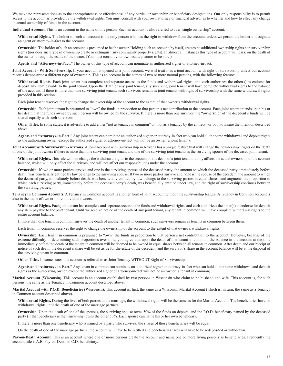We make no representations as to the appropriateness or effectiveness of any particular ownership or beneficiary designations. Our only responsibility is to permit access to the account as provided by the withdrawal rights. You must consult with your own attorney or financial advisor as to whether and how to effect any change in actual ownership of funds in the account.

**Individual Account.** This is an account in the name of one person. Such an account is also referred to as a "single ownership" account.

Withdrawal Rights. The holder of such an account is the only person who has the right to withdraw from the account, unless we permit the holder to designate an agent or attorney-in-fact to the account.

**Ownership.** The holder of such an account is presumed to be the owner. Holding such an account, by itself, creates no additional ownership rights nor survivorship rights (nor does such type of ownership create or extinguish any community property rights). In almost all instances this type of account will pass, on the death of the owner, through the estate of the owner. (You must consult your own estate planner to be sure.)

**Agents and "Attorneys-in-Fact."** The owner of this type of account can nominate an authorized signer or attorney-in-fact.

Joint Account - With Survivorship. If your account is opened as a joint account, we will treat it as a joint account with right of survivorship unless our account records demonstrate a different type of ownership. This is an account in the names of two or more natural persons, with the following features:

Withdrawal Rights. Each joint tenant has complete and separate access to the funds and withdrawal rights, and each authorizes the other(s) to endorse for deposit any item payable to the joint tenant. Upon the death of any joint tenant, any surviving joint tenant will have complete withdrawal rights to the balance of the account. If there is more than one surviving joint tenant, such survivors remain as joint tenants with right of survivorship with the same withdrawal rights provided in this section.

Each joint tenant reserves the right to change the ownership of the account to the extent of that owner's withdrawal rights.

**Ownership.** Each joint tenant is presumed to "own" the funds in proportion to that person's net contribution to the account. Each joint tenant intends upon his or her death that the funds owned by such person will be owned by the survivor. If there is more than one survivor, the "ownership" of the decedent's funds will be shared equally with such survivors.

**Other Titles.** In some states, it is advisable to add either "not as tenancy in common" or "not as a tenancy by the entirety" or both to insure the intention described above.

**Agents and "Attorneys-in-Fact."** Any joint tenant can nominate an authorized signer or attorney-in-fact who can hold all the same withdrawal and deposit rights as the authorizing owner, except the authorized signer or attorney-in-fact will not be an owner (a joint tenant).

Joint Account with Survivorship - Arizona. A Joint Account with Survivorship in Arizona has a unique feature that will change the "ownership" rights on the death of one of the joint owners if there is more than one surviving joint tenant and one of the surviving joint tenants is the surviving spouse of the deceased joint tenant.

Withdrawal Rights. This rule will not change the withdrawal rights to the account on the death of a joint tenant; it only affects the actual ownership of the account balance, which will only affect the survivors, and will not affect our responsibilities under the account.

**Ownership.** If two or more parties survive and one is the surviving spouse of the deceased party, the amount to which the deceased party, immediately before death, was beneficially entitled by law belongs to the surviving spouse. If two or more parties survive and none is the spouse of the decedent, the amount to which the deceased party, immediately before death, was beneficially entitled by law belongs to the surviving parties in equal shares, and augments the proportion to which each surviving party, immediately before the deceased party's death, was beneficially entitled under law, and the right of survivorship continues between the surviving parties.

**Tenancy in Common Accounts.** A Tenancy in Common account is another form of joint account without the survivorship feature. A Tenancy in Common account is also in the name of two or more individual owners.

Withdrawal Rights. Each joint tenant has complete and separate access to the funds and withdrawal rights, and each authorizes the other(s) to endorse for deposit any item payable to the joint tenant. Until we receive notice of the death of any joint tenant, any tenant in common will have complete withdrawal rights to the entire account balance.

If more than one tenant in common survives the death of another tenant in common, such survivors remain as tenants in common between them.

Each tenant in common reserves the right to change the ownership of the account to the extent of that owner's withdrawal rights.

**Ownership.** Each tenant in common is presumed to "own" the funds in proportion to that person's net contribution to the account. However, because of the extreme difficulty in determining such proportions over time, you agree that upon the death of one tenant in common, the balance in the account at the time immediately before the death of the tenant in common will be deemed to be owned in equal shares between all tenants in common. After death and our receipt of notice of such death, the decedent's share will be set aside for the estate of the decedent, and the survivor's share in the account balance will be at the disposal of the surviving tenant in common.

**Other Titles.** In some states this account is referred to as Joint Tenancy WITHOUT Right of Survivorship.

**Agents and "Attorneys-in-Fact."** Any tenant in common can nominate an authorized signer or attorney-in-fact who can hold all the same withdrawal and deposit rights as the authorizing owner, except the authorized signer or attorney-in-fact will not be an owner (a tenant in common).

**Marital Account (Wisconsin).** This account is an account established by two persons in Wisconsin who claim to be husband and wife. This account is, for such persons, the same as the Tenancy in Common account described above.

**Marital Account with P.O.D. Beneficiaries (Wisconsin).** This account is, first, the same as a Wisconsin Marital Account (which is, in turn, the same as a Tenancy in Common account described above).

**Withdrawal Rights.** During the lives of both parties to the marriage, the withdrawal rights will be the same as for the Marital Account. The beneficiaries have no withdrawal rights until the death of one of the marriage partners.

**Ownership.** Upon the death of one of the spouses, the surviving spouse owns 50% of the funds on deposit, and the P.O.D. beneficiary named by the deceased party (if that beneficiary is then surviving) owns the other 50%. Each spouse can name his or her own beneficiary.

If there is more than one beneficiary who is named by a party who survives, the shares of those beneficiaries will be equal.

On the death of one of the marriage partners, the account will have to be retitled and beneficiary shares will have to be redeposited or withdrawn.

Pay-on-Death Account. This is an account where one or more persons create the account and name one or more living persons as beneficiaries. Frequently the account title is A.B. Pay-on-Death to C.D. beneficiary.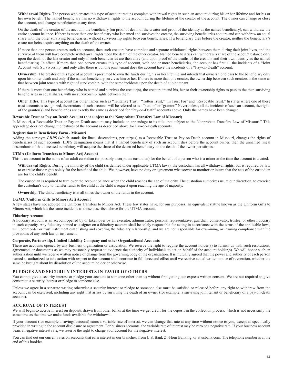**Withdrawal Rights.** The person who creates this type of account retains complete withdrawal rights in such an account during his or her lifetime and for his or her own benefit. The named beneficiary has no withdrawal rights to the account during the lifetime of the creator of the account. The owner can change or close the account, and change beneficiaries at any time.

On the death of the creator of the account, the beneficiary (on proof of death of the creator and proof of the identity as the named beneficiary), can withdraw the entire account balance. If there is more than one beneficiary who is named and survives the creator, the surviving beneficiaries acquire and can withdraw an equal share with the other surviving beneficiaries, without survivorship rights between beneficiaries. If a beneficiary dies before the creator, neither the beneficiary's estate nor heirs acquire anything on the death of the owner.

If more than one person creates such an account, then such creators have complete and separate withdrawal rights between them during their joint lives, and the survivor of them will have complete withdrawal rights upon the death of the other creator. Named beneficiaries can withdraw a share of the account balance only upon the death of the last creator and only if such beneficiaries are then alive (and upon proof of the deaths of the creators and their own identity as the named beneficiaries). In effect, if more than one person creates this type of account, with one or more beneficiaries, the account has first all the incidents of a "Joint Account with Survivorship" and only after there is but one joint tenant does the account have the incidents of a "Pay-on-Death" account.

**Ownership.** The creator of this type of account is presumed to own the funds during his or her lifetime and intends that ownership to pass to the beneficiary only upon his or her death and only if the named beneficiary survives him or her. If there is more than one creator, the ownership between such creators is the same as that between joint tenants with right of survivorship, with the same incidents upon the death of a joint tenant.

If there is more than one beneficiary who is named and survives the creator(s), the creators intend his, her or their ownership rights to pass to the then surviving beneficiaries in equal shares, with no survivorship rights between them.

Other Titles. This type of account has other names such as "Tentative Trust," "Totten Trust," "In Trust For" and "Revocable Trust." In states where one of these trust accounts is recognized, the creators of such accounts will be referred to as a "settlor" or "grantor." Nevertheless, all the incidents of such an account, the rights of the grantor(s) and beneficiaries are exactly the same as described for "Pay-on-Death" accounts above. Only the names have been changed.

#### **Revocable Trust or Pay-on-Death Account (not subject to the Nonprobate Transfers Law of Missouri)**

In Missouri, a Revocable Trust or Pay-on-Death account may include an appendage to its title "not subject to the Nonprobate Transfers Law of Missouri." This appendage does not change the features of the account as described above for Pay-on-Death accounts.

#### **Registration in Beneficiary Form - Missouri**

Adding the acronym *LDPS* (which stands for lineal descendants, per stirpes) to a Revocable Trust or Pay-on-Death account in Missouri, changes the rights of beneficiaries of such accounts. LDPS designation means that if a named beneficiary of such an account dies before the account owner, then the unnamed lineal descendants of that deceased beneficiary will acquire the share of the deceased beneficiary on the death of the owner per stirpes.

#### **UTMA (Uniform Transfers to Minors Act) Account**

This is an account in the name of an adult custodian (or possibly a corporate custodian) for the benefit of a person who is a minor at the time the account is created.

**Withdrawal Rights.** During the minority of the child (as defined under applicable UTMA laws), the custodian has all withdrawal rights, but is required by law to exercise those rights solely for the benefit of the child. We, however, have no duty or agreement whatsoever to monitor or insure that the acts of the custodian are for the child's benefit.

The custodian is required to turn over the account balance when the child reaches the age of majority. The custodian authorizes us, at our discretion, to exercise the custodian's duty to transfer funds to the child at the child's request upon reaching the age of majority.

**Ownership.** The child/beneficiary is at all times the owner of the funds in the account.

#### **UGMA (Uniform Gifts to Minors Act) Account**

A few states have not adopted the Uniform Transfers to Minors Act. These few states have, for our purposes, an equivalent statute known as the Uniform Gifts to Minors Act, which has the same incidents as those described above for the UTMA account.

#### **Fiduciary Account**

A fiduciary account is an account opened by or taken over by an executor, administrator, personal representative, guardian, conservator, trustee, or other fiduciary in such capacity. Any fiduciary named as a signer on a fiduciary account shall be solely responsible for acting in accordance with the terms of the applicable laws, will, court order or trust instrument establishing and covering the fiduciary relationship, and we are not responsible for examining, or insuring compliance with the provisions of any such law or instrument.

#### **Corporate, Partnership, Limited Liability Company and other Organizational Accounts**

These are accounts opened by any business organization or association. We reserve the right to require the account holder(s) to furnish us with such resolutions, agreements or documents as we may reasonably request to evidence the authority of individuals to act on behalf of the account holder(s). We will honor such an authorization until we receive written notice of change from the governing body of the organization. It is mutually agreed that the power and authority of each person named as authorized to take action with respect to the account shall continue in full force and effect until we receive actual written notice of revocation, whether the same be brought about by dissolution of the account holder or otherwise.

#### **PLEDGES AND SECURITY INTERESTS IN FAVOR OF OTHERS**

You cannot give a security interest or pledge your account to someone other than us without first getting our express written consent. We are not required to give consent to a security interest or pledge to someone else.

Unless we agree in a separate writing otherwise a security interest or pledge to someone else must be satisfied or released before any right to withdraw from the account can be exercised, including any right that arises by surviving the death of an owner (for example, a surviving joint tenant or beneficiary of a pay-on-death account).

#### **ACCRUAL OF INTEREST**

We will begin to accrue interest on deposits drawn from other banks at the time we get credit for the deposit in the collection process, which is not necessarily the same time as the time we make funds available for withdrawal.

If your account (for example a savings account) earns a variable rate of interest, we can change that rate at any time without notice to you, except as specifically provided in writing in the account disclosure or agreement. For business accounts, the variable rate of interest may be zero or a negative rate. If your business account bears a negative interest rate, we reserve the right to charge your account for the negative interest.

You can find out our current rates on accounts that earn interest in our branches, from U.S. Bank 24-Hour Banking, or at usbank.com. The telephone number is at the end of this booklet.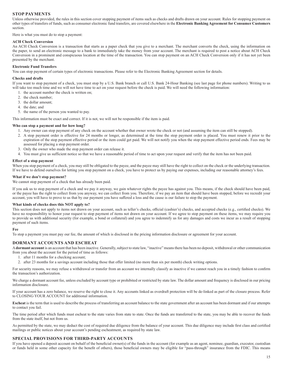## **STOP PAYMENTS**

Unless otherwise provided, the rules in this section cover stopping payment of items such as checks and drafts drawn on your account. Rules for stopping payment on other types of transfers of funds, such as consumer electronic fund transfers, are covered elsewhere in the **Electronic Banking Agreement for Consumer Customers** section.

Here is what you must do to stop a payment:

#### **ACH Check Conversion**

An ACH Check Conversion is a transaction that starts as a paper check that you give to a merchant. The merchant converts the check, using the information on the paper, to send an electronic message to a bank to immediately take the money from your account. The merchant is required to post a notice about ACH Check Conversion in a prominent and conspicuous location at the time of the transaction. You can stop payment on an ACH Check Conversion only if it has not yet been presented by the merchant.

#### **Electronic Fund Transfers**

You can stop payment of certain types of electronic transactions. Please refer to the Electronic Banking Agreement section for details.

#### **Checks and drafts**

If you want to stop payment of a check, you must stop by a U.S. Bank branch or call U.S. Bank 24-Hour Banking (see last page for phone numbers). Writing to us will take too much time and we will not have time to act on your request before the check is paid. We will need the following information:

- 1. the account number the check is written on;
- 2. the check number;
- 3. the dollar amount;
- 4. the date; and
- 5. the name of the person you wanted to pay.

This information must be exact and correct. If it is not, we will not be responsible if the item is paid.

#### **Who can stop a payment and for how long?**

- 1. Any owner can stop payment of any check on the account whether that owner wrote the check or not (and assuming the item can still be stopped).
- 2. A stop payment order is effective for 24 months or longer, as determined at the time the stop payment order is placed. You must renew it prior to the expiration of the stop payment effective period or the item could get paid. We will not notify you when the stop payment effective period ends. Fees may be assessed for placing a stop payment order.
- 3. Only the owner who made the stop payment order can release it.
- 4. You must give us sufficient notice so that we have a reasonable period of time to act upon your request and verify that the item has not been paid.

#### **Effect of a stop payment**

When you stop payment of a check, you may still be obligated to the payee, and the payee may still have the right to collect on the check or the underlying transaction. If we have to defend ourselves for letting you stop payment on a check, you have to protect us by paying our expenses, including our reasonable attorney's fees.

#### **What if we don't stop payment?**

We cannot stop payment of a check that has already been paid.

If you ask us to stop payment of a check and we pay it anyway, we gain whatever rights the payee has against you. This means, if the check should have been paid, or the payee has the right to collect from you anyway, we can collect from you. Therefore, if we pay an item that should have been stopped, before we recredit your account, you will have to prove to us that by our payment you have suffered a loss and the cause is our failure to stop the payment.

#### **What kinds of checks does this NOT apply to?**

This section does not apply to items not drawn on your account, such as teller's checks, official (cashier's) checks, and accepted checks (e.g., certified checks). We have no responsibility to honor your request to stop payment of items not drawn on your account. If we agree to stop payment on these items, we may require you to provide us with additional security (for example, a bond or collateral) and you agree to indemnify us for any damages and costs we incur as a result of stopping payment of such items.

#### **Fee**

To stop a payment you must pay our fee, the amount of which is disclosed in the pricing information disclosure or agreement for your account.

#### **DORMANT ACCOUNTS AND ESCHEAT**

A **dormant account** is an account that has been inactive. Generally, subject to state law, "inactive" means there has been no deposit, withdrawal or other communication from you about the account for the period of time as follows:

- 1. after 11 months for a checking account;
- 2. after 23 months for a savings account including those that offer limited (no more than six per month) check writing options.

For security reasons, we may refuse a withdrawal or transfer from an account we internally classify as inactive if we cannot reach you in a timely fashion to confirm the transaction's authorization.

We charge a dormant account fee, unless excluded by account type or prohibited or restricted by state law. The dollar amount and frequency is disclosed in our pricing information disclosure.

If your account has a zero balance, we reserve the right to close it. Any accounts linked as overdraft protection will be de-linked as part of the closure process. Refer to CLOSING YOUR ACCOUNT for additional information.

**Escheat** is the term that is used to describe the process of transferring an account balance to the state government after an account has been dormant and if our attempts to contact you fail.

The time period after which funds must escheat to the state varies from state to state. Once the funds are transferred to the state, you may be able to recover the funds from the state itself, but not from us.

As permitted by the state, we may deduct the cost of required due diligence from the balance of your account. This due diligence may include first class and certified mailings or public notices about your account's pending escheatment, as required by state law.

#### **SPECIAL PROVISIONS FOR THIRD-PARTY ACCOUNTS**

If you have opened a deposit account on behalf of the beneficial owner(s) of the funds in the account (for example as an agent, nominee, guardian, executor, custodian or funds held in some other capacity for the benefit of others), those beneficial owners may be eligible for "pass-through" insurance from the FDIC. This means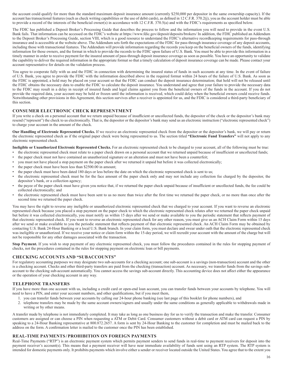the account could qualify for more than the standard maximum deposit insurance amount (currently \$250,000 per depositor in the same ownership capacity). If the account has transactional features (such as check writing capabilities or the use of debit cards), as defined in 12 C.F.R. 370.2(j), you as the account holder must be able to provide a record of the interests of the beneficial owner(s) in accordance with 12 C.F.R. 370.5(a) and with the FDIC's requirements as specified below.

The FDIC has published a Deposit Broker's Processing Guide that describes the process to follow and the information you will need to provide in the event U.S. Bank fails. That information can be accessed on the FDIC's website at https://www.fdic.gov/deposit/deposits/brokers/ In addition, the FDIC published an Addendum to the Deposit Broker's Processing Guide, section VIII, which is a good resource to understand the FDIC's alternative recordkeeping requirements for pass-through insurance and is accessible at the website above. The Addendum sets forth the expectations of the FDIC for pass-through insurance coverage of any deposit accounts, including those with transactional features. The Addendum will provide information regarding the records you keep on the beneficial owners of the funds, identifying information for those owners, and the format in which to provide the records to the FDIC upon failure of U.S. Bank. You must be able to provide this information in a timely manner in order to receive payment for the insured amount of pass-through deposit insurance coverage as soon as possible. You have an opportunity to validate the capability to deliver the required information in the appropriate format so that a timely calculation of deposit insurance coverage can be made. Please contact your account representative for details on the validation process.

You agree to cooperate fully with us and the FDIC in connection with determining the insured status of funds in such accounts at any time. In the event of failure of U.S. Bank, you agree to provide the FDIC with the information described above in the required format within 24 hours of the failure of U.S. Bank. As soon as the FDIC is appointed, a hold may be placed on your account so that the FDIC can conduct the deposit insurance determination; that hold will not be released until the FDIC obtains the necessary data to enable the FDIC to calculate the deposit insurance. You understand and agree that your failure to provide the necessary data to the FDIC may result in a delay in receipt of insured funds and legal claims against you from the beneficial owners of the funds in the account. If you do not provide the required data, your account may be held or frozen until the information is received, which could delay when the beneficial owners could receive funds. Notwithstanding other provisions in this Agreement, this section survives after a receiver is appointed for us, and the FDIC is considered a third-party beneficiary of this section.

#### **CONSUMER ELECTRONIC CHECK REPRESENTMENT**

If you write a check on a personal account that we return unpaid because of insufficient or uncollected funds, the depositor of the check or the depositor's bank may resend ("represent") the check to us electronically. That is, the depositor or the depositor's bank may send us an electronic instruction ("electronic represented check") to charge your account in the amount of the check.

**Our Handling of Electronic Represented Checks.** If we receive an electronic represented check from the depositor or the depositor's bank, we will pay or return the electronic represented check as if the original paper check were being represented to us. The section titled **"Electronic Fund Transfers"** will not apply to any electronic represented check.

**Ineligible or Unauthorized Electronic Represented Checks.** For an electronic represented check to be charged to your account, all of the following must be true:

- the electronic represented check must relate to a paper check drawn on a personal account that we returned unpaid because of insufficient or uncollected funds;
- the paper check must not have contained an unauthorized signature or an alteration and must not have been a counterfeit;
- you must not have placed a stop payment on the paper check after we returned it unpaid but before it was collected electronically;
- the paper check must have been less than \$2500.00 in amount;
- the paper check must have been dated 180 days or less before the date on which the electronic represented check is sent to us;
- the electronic represented check must be for the face amount of the paper check only and may not include any collection fee charged by the depositor, the depositor's bank, or a collection agency;
- the payee of the paper check must have given you notice that, if we returned the paper check unpaid because of insufficient or uncollected funds, the fee could be collected electronically; and
- the electronic represented check must have been sent to us no more than twice after the first time we returned the paper check, or no more than once after the second time we returned the paper check.

You may have the right to reverse any ineligible or unauthorized electronic represented check that we charged to your account. If you want to reverse an electronic represented check because you placed a stop payment on the paper check to which the electronic represented check relates after we returned the paper check unpaid but before it was collected electronically, you must notify us within 15 days after we send or make available to you the periodic statement that reflects payment of that electronic represented check. If you want to reverse an electronic represented check for any other reason, you must give us an ACH Claim Form within 15 days after we send or make available to you the periodic statement that reflects payment of that electronic represented check. An ACH Claim Form may be obtained by contacting U.S. Bank 24-Hour Banking or a local U.S. Bank branch. In your claim form, you must declare and swear under oath that the electronic represented check was ineligible or unauthorized. If we receive your notice or claim form within the 15-day period, we will recredit your account with the amount of the charge but will not be responsible for any other damages associated with the transaction.

Stop Payment. If you wish to stop payment of any electronic represented check, you must follow the procedures contained in the rules for stopping payment of checks, not the procedures contained in the rules for stopping payment on electronic loan or bill payments.

#### **CHECKING ACCOUNTS AND "SUBACCOUNTS"**

For regulatory accounting purposes we may designate two sub-accounts for a checking account; one sub-account is a savings (non-transaction) account and the other is a checking account. Checks and other third-party transfers are paid from the checking (transaction) account. As necessary, we transfer funds from the savings subaccount to the checking sub-account automatically. You cannot access the savings sub-account directly. This accounting device does not affect either the appearance or the operation of your checking account in any way.

#### **TELEPHONE TRANSFERS**

If you have more than one account with us, including a credit card or open-end loan account, you can transfer funds between your accounts by telephone. You will need to have a PIN, and enter your account numbers, and other qualifications, but if you meet them,

- 1. you can transfer funds between your accounts by calling our 24-hour phone banking (see last page of this booklet for phone numbers), and
- 2. telephone transfers may be made by the same account owners/signers and usually under the same conditions as generally applicable to withdrawals made in writing or by other means.

A transfer made by telephone is not immediately completed. It may take as long as one business day for us to verify the transaction and make the transfer. Consumer customers are assigned or can choose a PIN when requesting a ATM or Debit Card. Consumer customers without a debit card or ATM card can request a PIN by speaking to a 24-Hour Banking representative at 800.872.2657. A form is sent by 24-Hour Banking to the customer for completion and must be mailed back to the address on the form. A confirmation letter is mailed to the customer once the PIN has been established.

#### **REAL-TIME PAYMENTS /PROHIBITION ON FOREIGN PAYMENTS**

Real-Time Payments ("RTP") is an electronic payment system which permits payment senders to send funds in real-time to payment receivers for deposit into the payment receiver's account(s). This means that a payment receiver will have near immediate availability of funds sent using an RTP system. The RTP system is intended for domestic payments only. It prohibits payments which involve either a sender or receiver located outside the United States. You agree that to the extent you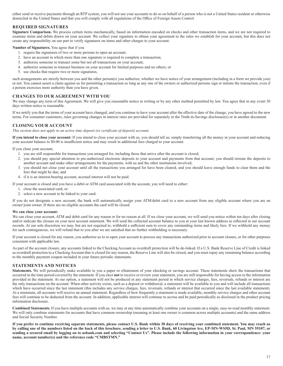either send or receive payments through an RTP system, you will not use your accounts to do so on behalf of a person who is not a United States resident or otherwise domiciled in the United States and that you will comply with all regulations of the Office of Foreign Assets Control.

## **REQUIRED SIGNATURES**

**Signature Comparison.** We process certain items mechanically, based on information encoded on checks and other transaction items, and we are not required to examine items and debits drawn on your account. We collect your signature to obtain your agreement to the rules we establish for your account, but this does not create any responsibility on our part to verify signatures on items and other charges to your account.

**Number of Signatures.** You agree that if you

- 1. require the signatures of two or more persons to open an account;
- 2. have an account in which more than one signature is required to complete a transaction;
- 3. authorize someone to transact some but not all transactions on your account;
- 4. authorize someone to transact business on your account for limited purposes and no others; or
- 5. use checks that require two or more signatures,

such arrangements are strictly between you and the other person(s) you authorize, whether we have notice of your arrangement (including in a form we provide you) or not. You cannot assert a claim against us for permitting a transaction so long as any one of the owners or authorized persons sign or initiate the transaction, even if a person exercises more authority than you have given.

## **CHANGES TO OUR AGREEMENT WITH YOU**

We may change any term of this Agreement. We will give you reasonable notice in writing or by any other method permitted by law. You agree that in any event 30 days written notice is reasonable.

If we notify you that the terms of your account have changed, and you continue to have your account after the effective date of the change, you have agreed to the new terms. For consumer customers, rules governing changes in interest rates are provided for separately in the Truth-in-Savings disclosure(s) or in another document.

## **CLOSING YOUR ACCOUNT**

*This section does not apply to an active time deposit (or certificate of deposit) account.*

**If you intend to close your account:** If you intend to close your account with us, you should tell us; simply transferring all the money in your account and reducing your account balance to \$0.00 is insufficient notice and may result in additional fees charged to your account.

If you close your account,

- 1. you are still responsible for transactions you arranged for, including those that arrive after the account is closed;
- 2. you should pay special attention to pre-authorized electronic deposits to your account and payments from that account; you should reroute the deposits to another account and make other arrangements for the payments, with us and the other institutions involved;
- 3. you should not close your account until all the transactions you arranged for have been cleared, and you should leave enough funds to clear them and the fees that might be due; and
- 4. if it is an interest-bearing account, accrued interest will not be paid.

If your account is closed and you have a debit or ATM card associated with the account, you will need to either:

- 1. close the associated card; or
- 2. select a new account to be linked to your card.

If you do not designate a new account, the bank will automatically assign your ATM/debit card to a new account from any eligible account where you are an owner/ joint owner. If there are no eligible accounts the card will be closed.

#### **We can close your account:**

We can close your account, ATM and debit card for any reason or for no reason at all. If we close your account, we will send you notice within ten days after closing and/or indicate the closure on your next account statement. We will send the collected account balance to you at your last known address as reflected in our account records. At our sole discretion we may, but are not required to, withhold a sufficient sum to cover any outstanding items and likely fees. If we withhold any money for such contingencies, we will refund that to you after we are satisfied that no further withholding is necessary.

If your account is closed for any reason, you authorize us to re-open your account to process any transactions authorized prior to account closure, or for other purposes consistent with applicable law.

As part of the account closure, any accounts linked to the Checking Account as overdraft protection will be de-linked. If a U.S. Bank Reserve Line of Credit is linked as overdraft protection to a Checking Account that is closed for any reason, the Reserve Line will also be closed, and you must repay any remaining balance according to the monthly payment coupon included in your future periodic statements.

## **STATEMENTS AND NOTICES**

**Statements.** We will periodically make available to you a paper or eStatement of your checking or savings account. These statements show the transactions that occurred in the time period covered by the statement. If you elect **not** to receive or review your statement, you are still responsible for having access to the information provided in the statement. At our option, a statement will not be produced in any statement period in which service charges, fees, reversals, refunds or interest are the only transactions on the account. When other activity exists, such as a deposit or withdrawal, a statement will be available to you and will include all transactions which have occurred since the last statement (this includes any service charges, fees, reversals, refunds or interest that occurred since the last available statement). At a minimum, all accounts will receive an annual statement. Regardless of how frequently a statement is made available, monthly service charges and other account fees will continue to be deducted from the account. In addition, applicable interest will continue to accrue and be paid periodically as disclosed in the product pricing information disclosure.

**Combined Statements.** If you have multiple accounts with us, we may at any time automatically combine your accounts on a single, easy-to-read monthly statement. We will only combine statements for accounts that have common ownership (meaning at least one owner is common across multiple accounts) and the same address and Social Security Number.

**If you prefer to continue receiving separate statements, please contact U.S. Bank within 30 days of receiving your combined statement. You may reach us by calling one of the numbers listed on the back of this brochure, sending a letter to U.S. Bank, 60 Livingston Ave, EP-MN-WS5D, St. Paul, MN 55107, or sending a secured email by logging on to usbank.com and selecting "Contact Us". Please include the following information in your correspondence: your name, account number(s) and the reference code "CMBSTMN."**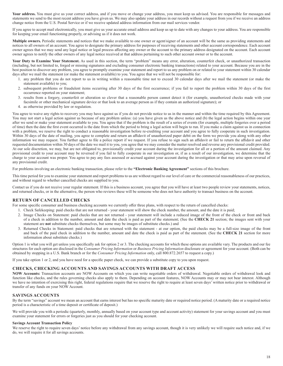Your address. You must give us your correct address, and if you move or change your address, you must keep us advised. You are responsible for messages and statements we send to the most recent address you have given us. We may also update your address in our records without a request from you if we receive an address change notice from the U.S. Postal Service or if we receive updated address information from our mail services vendor.

If you agree to accept mail electronically, you must give us your accurate email address and keep us up to date with any changes to your address. You are responsible for keeping your email functioning properly, or advising us if it does not work.

**Multiple owners.** Periodic statements and notices that we make available to one owner or agent/signer of an account will be the same as providing statements and notices to all owners of an account. You agree to designate the primary address for purposes of receiving statements and other account correspondence. Each account owner agrees that we may send any legal notice or legal process affecting any owner or the account to the primary address designated on the account. Each account owner agrees to notify the other owners of any legal notice received at that address pertaining to such other account owner or to the account.

Your Duty to Examine Your Statement. As used in this section, the term "problem" means any error, alteration, counterfeit check, or unauthorized transaction (including, but not limited to, forged or missing signatures and excluding consumer electronic banking transactions) related to your account. Because you are in the best position to discover any problem, you agree to promptly examine your statement and report to us any problem on or related to your statement within 30 calendar days after we mail the statement (or make the statement available) to you. You agree that we will not be responsible for:

- 1. any problem that you do not report to us in writing within a reasonable time not to exceed 30 calendar days after we mail the statement (or make the statement available) to you;
- 2. subsequent problems or fraudulent items occurring after 30 days of the first occurrence; if you fail to report the problem within 30 days of the first occurrence reported on your statement;
- 3. results from a forgery, counterfeit or alteration so clever that a reasonable person cannot detect it (for example, unauthorized checks made with your facsimile or other mechanical signature device or that look to an average person as if they contain an authorized signature); or
- 4. as otherwise provided by law or regulation.

You agree to waive any rights to recovery you may have against us if you do not provide notice to us in the manner and within the time required by this Agreement. You may not start a legal action against us because of any problem unless: (a) you have given us the above notice and (b) the legal action begins within one year after we send or make your statement available to you. You agree that if the problem is the result of a series of events (for example, multiple forgeries over a period of time) then the date the first event occurred is the date from which the period to bring a legal action will begin to run. If you make a claim against us in connection with a problem, we reserve the right to conduct a reasonable investigation before re-crediting your account and you agree to fully cooperate in such investigation. Within 30 days of the date of mailing, you agree to complete and return an affidavit of unauthorized paper debit on the form we provide you along with any other information we may request. You further agree to file a police report if we request. If you refuse to sign such an affidavit or fail to return the affidavit and other requested documentation within 30 days of the date we mail it to you, you agree that we may consider the matter resolved and reverse any provisional credit provided. At our sole discretion, we may, but are not obligated to, provisionally credit your account during the investigation for all or a portion of the amount claimed. Any provisional credit to your account may be reversed if you fail to fully cooperate in our investigation or, if as a result of our investigation, we determine that the charge to your account was proper. You agree to pay any fees assessed or accrued against your account during the investigation or that may arise upon reversal of any provisional credit.

For problems involving an electronic banking transaction, please refer to the **"Electronic Banking Agreement"** sections of this brochure.

This time period for you to examine your statement and report problems to us are without regard to our level of care or the commercial reasonableness of our practices, and without regard to whether cancelled checks are supplied to you.

Contact us if you do not receive your regular statement. If this is a business account, you agree that you will have at least two people review your statements, notices, and returned checks, or in the alternative, the person who reviews these will be someone who does not have authority to transact business on the account.

#### **RETURN OF CANCELLED CHECKS**

For some specific consumer and business checking accounts we currently offer three plans, with respect to the return of cancelled checks:

- 1. Check Safekeeping: paid checks that are not returned your statement will show the check number, the amount, and the date it is paid;
- 2. Image Checks on Statement: paid checks that are not returned your statement will include a reduced image of the front of the check or front and back of a check in addition to the number, amount and date the check is paid as part of the statement; (See the **CHECK 21** section; the images sent with your statement are **not** substitute checks themselves, but some may be images of substitute checks.) and
- 3. Returned Checks in Statement: paid checks that are returned with the statement at our option, the paid checks may be a full-size image of the front and back of the paid check in addition to the number, amount and date the check is paid as part of the statement. (See the **CHECK 21** section for more information about substitute checks.)

Option 1 is what you will get unless you specifically ask for option 2 or 3. The checking accounts for which these options are available vary. The products and our fee structures for each option are disclosed in the *Consumer Pricing Information* or *Business Pricing Information* disclosure or agreement for your account. (Both can be obtained by stopping in a U.S. Bank branch or for the *Consumer Pricing Information* only, call 800.872.2657 to request a copy.)

If you take option 1 or 2, and you have need for a specific paper check, we can provide a substitute copy to you upon request.

#### **CHECKS, CHECKING ACCOUNTS AND SAVINGS ACCOUNTS WITH DRAFT ACCESS**

**NOW Accounts:** Transaction accounts are NOW Accounts on which you can write negotiable orders of withdrawal. Negotiable orders of withdrawal look and function like checks, and the rules governing checks also apply to them. Depending on account features, NOW Accounts may or may not bear interest. Although we have no intention of exercising this right, federal regulations require that we reserve the right to require at least seven days' written notice prior to withdrawal or transfer of any funds on your NOW Account.

#### **SAVINGS ACCOUNTS**

By the term "savings" account we mean an account that earns interest but has no specific maturity date or required notice period. (A maturity date or a required notice period is a characteristic of a time deposit or certificate of deposit.)

We will provide you with a periodic (quarterly, monthly, annually based on your account type and account activity) statement for your savings account and you must examine your statement for errors or forgeries just as you should for your checking account.

#### **Savings Account Transaction Policy**

We reserve the right to require seven days' notice before any withdrawal from any savings account, though it is very unlikely we will require such notice and, if we do, we will require it for all savings accounts.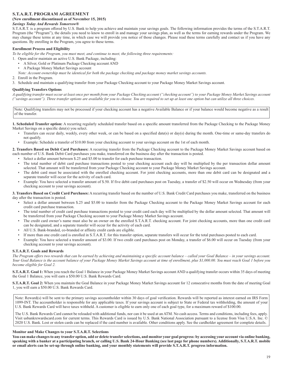## **S.T.A.R.T. PROGRAM AGREEMENT**

#### **(New enrollment discontinued as of November 15, 2015)**

#### *Savings Today And Rewards Tomorrow®*

S.T.A.R.T. is a program offered by U.S. Bank to help you achieve and maintain your savings goals. The following information provides the terms of the S.T.A.R.T. Program (the "Program"), the details you need to know to enroll in and manage your savings plan, as well as the terms for earning rewards under the Program. We may change these terms at any time, in which case we will provide you notice of those changes. Please read these terms carefully and contact us if you have any questions. By enrolling in the Program, you agree to these terms.

#### **Enrollment Process and Eligibility**

*To be eligible for the Program, you must meet, and continue to meet, the following three requirements:* 

1. Open and/or maintain an active U.S. Bank Package, including:

- A Silver, Gold or Platinum Package Checking account AND
- A Package Money Market Savings account

*Note: Account ownership must be identical for both the package checking and package money market savings accounts.*

2. Enroll in the Program.

3. Schedule and maintain a qualifying transfer from your Package Checking account to your Package Money Market Savings account.

#### **Qualifying Transfers Options**

*A qualifying transfer must occur at least once per month from your Package Checking account ("checking account") to your Package Money Market Savings account ("savings account"). Three transfer options are available for you to choose. You are required to set up at least one option but can utilize all three choices.*

Note: Qualifying transfers may not be processed if your checking account has a negative Available Balance or if your balance would become negative as a result of the transfer.

1. Scheduled Transfer option: A recurring regularly scheduled transfer based on a specific amount transferred from the Package Checking to the Package Money Market Savings on a specific date(s) you select.

- Transfers can occur daily, weekly, every other week, or can be based on a specified date(s) or day(s) during the month. One-time or same-day transfers do not qualify.
- Example: Schedule a transfer of \$10.00 from your checking account to your savings account on the 1st of each month.

**2. Transfers Based on Debit Card Purchases:** A recurring transfer from the Package Checking account to the Package Money Market Savings account based on each number of U.S. Bank Debit Card purchases you make, transferred on the business day after the transaction is posted.

- Select a dollar amount between \$.25 and \$5.00 to transfer for each purchase transaction.
- The total number of debit card purchase transactions posted to your checking account each day will be multiplied by the per transaction dollar amount selected. That amount will be transferred from your Package Checking account to your Package Money Market Savings account.
- The debit card must be associated with the enrolled checking account. For joint checking accounts, more than one debit card can be designated and a separate transfer will occur for the activity of each card.
- Example: You have selected a transfer amount of \$.50. If five debit card purchases post on Tuesday, a transfer of \$2.50 will occur on Wednesday (from your checking account to your savings account).

**3. Transfers Based on Credit Card Purchases:** A recurring transfer based on the number of U.S. Bank Credit Card purchases you make, transferred on the business day after the transaction is posted.

- Select a dollar amount between \$.25 and \$5.00 to transfer from the Package Checking account to the Package Money Market Savings account for each credit card purchase transaction.
- The total number of credit card purchase transactions posted to your credit card each day will be multiplied by the dollar amount selected. That amount will be transferred from your Package Checking account to your Package Money Market Savings account.
- The credit card owner's name must also be an owner on the enrolled S.T.A.R.T. checking account. For joint checking accounts, more than one credit card can be designated, and a separate transfer will occur for the activity of each card.
- All U.S. Bank-branded, co-branded or affinity credit cards are eligible.
- If more than one credit card is enrolled in S.T.A.R.T. for this transfer option, separate transfers will occur for the total purchases posted to each card.
- Example: You have selected a transfer amount of \$3.00. If two credit card purchases post on Monday, a transfer of \$6.00 will occur on Tuesday (from your checking account to your savings account).

#### **S.T.A.R.T. Goals and Rewards**

*The Program offers two rewards that can be earned by achieving and maintaining a specific account balance – called your Goal Balance – in your savings account. Your Goal Balance is the account balance of your Package Money Market Savings account at time of enrollment, plus \$1,000.00. You must reach Goal 1 before you become eligible for Goal 2.*

**S.T.A.R.T. Goal 1:** When you reach the Goal 1 Balance in your Package Money Market Savings account AND a qualifying transfer occurs within 35 days of meeting the Goal 1 Balance, you will earn a \$50.00 U.S. Bank Rewards Card.

**S.T.A.R.T. Goal 2:** When you maintain the Goal Balance in your Package Money Market Savings account for 12 consecutive months from the date of meeting Goal 1, you will earn a \$50.00 U.S. Bank Rewards Card.

Note: Reward(s) will be sent to the primary savings accountholder within 30 days of goal verification. Rewards will be reported as interest earned on IRS Form 1099-INT. The accountholder is responsible for any applicable taxes. If your savings account is subject to State or Federal tax withholding, the amount of your U.S. Bank Rewards Card will have taxes withheld. A customer is eligible to earn only one of each goal type, for a maximum reward of \$100.00.

The U.S. Bank Rewards Card cannot be reloaded with additional funds, nor can it be used at an ATM. No cash access. Terms and conditions, including fees, apply. Visit usbankrewardscard.com for current terms. This Rewards Card is issued by U.S. Bank National Association pursuant to a license from Visa U.S.A. Inc. © 2020 U.S. Bank. Lost or stolen cards can be replaced if the card number is available. Other conditions apply. See the cardholder agreement for complete details.

#### **Monitor and Make Changes to your S.T.A.R.T. Selections**

**You can make changes to any transfer option, add or delete transfer selections, and monitor your goal progress: by accessing your account via online banking, speaking with a banker at a participating branch, or calling U.S. Bank 24-Hour Banking (see last page for phone numbers). Additionally, S.T.A.R.T. mobile or email alerts can be set-up through online banking, and your monthly statements will provide S.T.A.R.T. progress information.**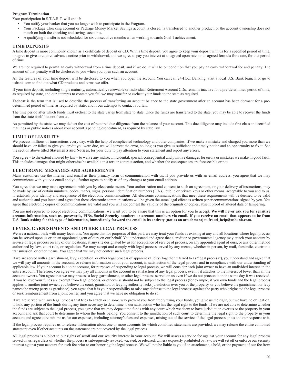#### **Program Termination**

Your participation in S.T.A.R.T. will end if:

- You notify your banker that you no longer wish to participate in the Program.
- Your Package Checking account or Package Money Market Savings account is closed, is transferred to another product, or the account ownership does not match on both the checking and savings accounts.
- A qualifying transfer is not scheduled for six consecutive months when working towards Goal 1 achievement.

#### **TIME DEPOSITS**

A time deposit is more commonly known as a certificate of deposit or CD. With a time deposit, you agree to keep your deposit with us for a specified period of time, or agree to give a required advance notice prior to withdrawal, and we agree to pay you interest at an agreed upon rate, or an agreed formula for a rate, for that period of time.

We are not required to permit an early withdrawal from a time deposit, and if we do, it will be on condition that you pay an early withdrawal fee and penalty. The amount of that penalty will be disclosed to you when you open such an account.

All the features of your time deposit will be disclosed to you when you open the account. You can call 24-Hour Banking, visit a local U.S. Bank branch, or go to usbank.com to find out what CD products and terms we offer.

If your time deposit, including single maturity, automatically renewable or Individual Retirement Account CDs, remains inactive for a pre-determined period of time, as required by state, and our attempts to contact you fail we may transfer or escheat your funds to the state as required.

**Escheat** is the term that is used to describe the process of transferring an account balance to the state government after an account has been dormant for a predetermined period of time, as required by state, and if our attempts to contact you fail.

The time period after which funds must escheat to the state varies from state to state. Once the funds are transferred to the state, you may be able to recover the funds from the state itself, but not from us.

As permitted by the state, we may deduct the cost of required due diligence from the balance of your account. This due diligence may include first class and certified mailings or public notices about your account's pending escheatment, as required by state law.

#### **LIMIT OF LIABILITY**

We process millions of transactions every day, with the help of complicated technology and other companies. If we make a mistake and charged you more than we should have, or failed to give you credit you were due, we will correct the error, so long as you give us sufficient and timely notice and an opportunity to fix it. See the section above titled **Statements and Notices,** for your duty to pay attention to your statement and report any errors.

You agree – to the extent allowed by law – to waive any indirect, incidental, special, consequential and punitive damages for errors or mistakes we make in good faith. This includes damages that might otherwise be available in a tort or contract action, and whether the consequences are foreseeable or not.

#### **ELECTRONIC MESSAGES AND AGREEMENTS**

Many customers use the Internet and email as their primary form of communication with us. If you provide us with an email address, you agree that we may communicate with you via email and you further agree to notify us of any changes to your email address.

You agree that we may make agreements with you by electronic means. Your authorization and consent to such an agreement, or your delivery of instructions, may be made by use of certain numbers, codes, marks, signs, personal identification numbers (PINs), public or private keys or other means, acceptable to you and to us, to establish your identity and acceptance of the electronic communications. All electronic communications that meet these requirements will be deemed to be valid and authentic and you intend and agree that those electronic communications will be given the same legal effect as written paper communications signed by you. You agree that electronic copies of communications are valid and you will not contest the validity of the originals or copies, absent proof of altered data or tampering.

You are not required to accept electronic communications; we want you to be aware that this is an option for you to accept. We will never ask you for sensitive **account information, such as, passwords, PINs, Social Security numbers or account numbers via email. If you receive an email that appears to be from U.S. Bank asking for this type of information, immediately forward the email in its entirety (not as an attachment) to fraud\_help@usbank.com.**

#### **LEVIES, GARNISHMENTS AND OTHER LEGAL PROCESS**

We are a national bank with many locations. You agree that for purposes of this part, we may treat your funds as existing at any and all locations where legal process can be served upon us or on an appointed agent of ours on our behalf. You understand and agree that a creditor or governmental agency may attach your account by service of legal process on any of our locations, at any site designated by us for acceptance of service of process, on any appointed agent of ours, or any other method authorized by law, court rule, or regulation. We may accept and comply with legal process served by any means, whether in person, by mail, facsimile, electronic transmission, or other means. You agree that we may not contest such legal process.

If we are served with a garnishment, levy, execution, or other legal process of apparent validity (together referred to as "legal process"), you understand and agree that we will pay all amounts in the account, or release information about your account, in satisfaction of the legal process and in compliance with our understanding of applicable law. If your account is a joint account, for purposes of responding to legal process, we will consider each joint owner to have an undivided interest in the entire account. Therefore, you agree we may pay all amounts in the account in satisfaction of any legal process, even if it attaches to the interest of fewer than all the account owners. You agree that we may process a levy, garnishment, or other legal process served on us even if we do not process it on the same day it was received. If you believe your funds are exempt from legal process, or otherwise should not be subject to the legal process (for example, if you own funds and the legal process applies to another joint owner, you believe the court, garnishor, or levying authority lacks jurisdiction over you or the property, or you believe the garnishment or levy names the wrong party as garnishee), you agree that it is your responsibility to raise any defense to the legal process against the party who originated the legal process or seek reimbursement from a joint owner, and you agree that we have no obligation to do so.

If we are served with any legal process that tries to attach or in some way prevent you from freely using your funds, you give us the right, but we have no obligation, to hold any portion of the funds during any time necessary to determine to our satisfaction who has the legal right to the funds. If we are not able to determine whether the funds are subject to the legal process, you agree that we may deposit the funds with any court which we deem to have jurisdiction over us or the property in your account and ask that court to determine to whom the funds belong. You consent to the jurisdiction of such court to determine the legal right to the property in your account and agree to reimburse us for our expenses, including attorney's fees and expenses, arising out of the service of the legal process on us and our response to it.

If the legal process requires us to release information about one or more accounts for which combined statements are provided, we may release the entire combined statement even if other accounts on the statement are not covered by the legal process.

All legal process is subject to our rights of setoff and our security interest in your account. We will assess a service fee against your account for any legal process served on us regardless of whether the process is subsequently revoked, vacated, or released. Unless expressly prohibited by law, we will set off or enforce our security interest against your account for such fee prior to our honoring the legal process. We will not be liable to you if an attachment, a hold, or the payment of our fee from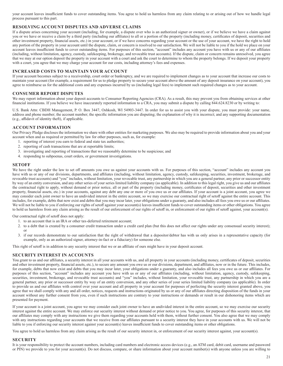your account leaves insufficient funds to cover outstanding items. You agree to hold us harmless from any claim relating to or arising out of how we handle legal process pursuant to this part.

## **RESOLVING ACCOUNT DISPUTES AND ADVERSE CLAIMS**

If a dispute arises concerning your account (including, for example, a dispute over who is an authorized signer or owner), or if we believe we have a claim against you or we have or receive a claim by a third party (including our affiliates) to all or a portion of the property (including money, certificates of deposit, securities and other investment property, financial assets, etc.) in your account, or if we have concerns regarding your account or the use of your account, we have the right to hold any portion of the property in your account until the dispute, claim, or concern is resolved to our satisfaction. We will not be liable to you if the hold we place on your account leaves insufficient funds to cover outstanding items. For purposes of this section, "account" includes any account you have with us or any of our affiliates (including, without limitation, agency, custody, safekeeping, brokerage, and revocable trust accounts). If the dispute, claim or concern remains unresolved, you agree that we may at our option deposit the property in your account with a court and ask the court to determine to whom the property belongs. If we deposit your property with a court, you agree that we may charge your account for our costs, including attorney's fees and expenses.

#### **INCREASED COSTS TO MAINTAIN YOUR ACCOUNT**

If your account becomes subject to a receivership, court order or bankruptcy, and we are required to implement changes as to your account that increase our costs to maintain your account (for example, a requirement for us to pledge property to secure your account above the amount of any deposit insurance on your account), you agree to reimburse us for the additional costs and any expenses incurred by us (including legal fees) to implement such required changes as to your account.

#### **CONSUMER REPORT DISPUTES**

We may report information about your deposit accounts to Consumer Reporting Agencies (CRA). As a result, this may prevent you from obtaining services at other financial institutions. If you believe we have inaccurately reported information to a CRA, you may submit a dispute by calling 844.624.8230 or by writing to:

U.S. Bank Attn: CBDH Management, P. O. Box 3447, Oshkosh, WI 54903-3447. In order for us to assist you with your dispute, you must provide: your name, address and phone number; the account number; the specific information you are disputing; the explanation of why it is incorrect; and any supporting documentation (e.g., affidavit of identity theft), if applicable.

#### **ACCOUNT INFORMATION**

Our Privacy Pledge discloses the information we share with other entities for marketing purposes. We also may be required to provide information about you and your account when and as required or permitted by law for other purposes, such as, for example:

- 1. reporting of interest you earn to federal and state tax authorities;
- 2. reporting of cash transactions that are at reportable limits;
- 3. investigating and reporting of transactions that we reasonably determine to be suspicious; and
- 4. responding to subpoenas, court orders, or government investigations.

#### **SETOFF**

We have the right under the law to set off amounts you owe us against your accounts with us. For purposes of this section, "account" includes any account you have with us or any of our divisions, departments, and affiliates (including, without limitation, agency, custody, safekeeping, securities, investment, brokerage, and revocable trust accounts) and "you" includes, without limitation, your revocable trust, any partnership in which you are a general partner, any prior or successor entity by way of an entity conversion, and any other series of your series limited liability company (as applicable). In addition to this legal right, you give us and our affiliates the contractual right to apply, without demand or prior notice, all or part of the property (including money, certificates of deposit, securities and other investment property, financial assets, etc.) in your accounts, against any debt any one or more of you owe us or our affiliates. If your account is a joint account, you agree we may consider each joint owner to have an undivided interest in the entire account, so we may exercise our contractual right of setoff against the entire account. This includes, for example, debts that now exist and debts that you may incur later, your obligations under a guaranty, and also includes all fees you owe us or our affiliates. We will not be liable to you if enforcing our rights of setoff against your account(s) leaves insufficient funds to cover outstanding items or other obligations. You agree to hold us harmless from any claim arising as the result of our enforcement of our rights of setoff in, or enforcement of our rights of setoff against, your account(s).

Our contractual right of setoff does not apply:

- 1. to an account that is an IRA or other tax-deferred retirement account;
- 2. to a debt that is created by a consumer credit transaction under a credit card plan (but this does not affect our rights under any consensual security interest); or
- 3. if our records demonstrate to our satisfaction that the right of withdrawal that a depositor/debtor has with us only arises in a representative capacity (for example, only as an authorized signer, attorney-in-fact or a fiduciary) for someone else.

This right of setoff is in addition to any security interest that we or an affiliate of ours might have in your deposit account.

#### **SECURITY INTEREST IN ACCOUNTS**

You grant to us and our affiliates, a security interest in all your accounts with us, and all property in your accounts (including money, certificates of deposit, securities and other investment property, financial assets, etc.), to secure any amount you owe us or our divisions, department, and affiliates, now or in the future. This includes, for example, debts that now exist and debts that you may incur later, your obligations under a guaranty, and also includes all fees you owe us or our affiliates. For purposes of this section, "account" includes any account you have with us or any of our affiliates (including, without limitation, agency, custody, safekeeping, securities, investment, brokerage, and revocable trust accounts) and "you" includes, without limitation, your revocable trust, any partnership in which you are a general partner, any prior or successor entity by way of an entity conversion, and any other series of your series limited liability company (as applicable). In order to provide us and our affiliates with control over your account and all property in your account for purposes of perfecting the security interest granted above, you agree that we shall comply with any and all order, notices, requests and instructions originated by us or any of our affiliates directing disposition of the funds in your account without any further consent from you, even if such instructions are contrary to your instructions or demands or result in our dishonoring items which are presented for payment.

If your account is a joint account, you agree we may consider each joint owner to have an undivided interest in the entire account, so we may exercise our security interest against the entire account. We may enforce our security interest without demand or prior notice to you. You agree, for purposes of this security interest, that our affiliates may comply with any instructions we give them regarding your accounts held with them, without further consent. You also agree that we may comply with any instructions regarding your accounts that we receive from our affiliates pursuant to a security interest they have in your accounts with us. We will not be liable to you if enforcing our security interest against your account(s) leaves insufficient funds to cover outstanding items or other obligations.

You agree to hold us harmless from any claim arising as the result of our security interest in, or enforcement of our security interest against, your account(s).

#### **SECURITY**

It is your responsibility to protect the account numbers, including card numbers and electronic access devices (e.g., an ATM card, debit card, username and password or PIN) we provide to you for your account(s). Do not discuss, compare, or share information about your account number(s) with anyone unless you are willing to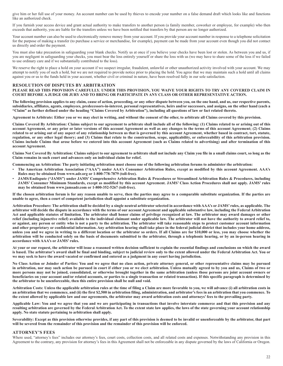give him or her full use of your money. An account number can be used by thieves to encode your number on a false demand draft which looks like and functions like an authorized check.

If you furnish your access device and grant actual authority to make transfers to another person (a family member, coworker or employee, for example) who then exceeds that authority, you are liable for the transfers unless we have been notified that transfers by that person are no longer authorized.

Your account number can also be used to electronically remove money from your account. If you provide your account number in response to a telephone solicitation for the purpose of making a transfer (to purchase a service or merchandise, for example), payment can be made from your account even though you did not contact us directly and order the payment.

You must also take precaution in safeguarding your blank checks. Notify us at once if you believe your checks have been lost or stolen. As between you and us, if you are negligent in safeguarding your checks, you must bear the loss entirely yourself or share the loss with us (we may have to share some of the loss if we failed to use ordinary care and if we substantially contributed to the loss).

We reserve the right to place a hold on your account if we suspect irregular, fraudulent, unlawful or other unauthorized activity involved with your account. We may attempt to notify you of such a hold, but we are not required to provide notice prior to placing the hold. You agree that we may maintain such a hold until all claims against you or us to the funds held in your account, whether civil or criminal in nature, have been resolved fully in our sole satisfaction.

#### **RESOLUTION OF DISPUTES BY ARBITRATION**

**PLEASE READ THIS PROVISION CAREFULLY. UNDER THIS PROVISION, YOU WAIVE YOUR RIGHTS TO TRY ANY COVERED CLAIM IN COURT BEFORE A JUDGE OR JURY AND TO BRING OR PARTICIPATE IN ANY CLASS OR OTHER REPRESENTATIVE ACTION.**

**The following provision applies to any claim, cause of action, proceeding, or any other dispute between you, on the one hand, and us, our respective parents, subsidiaries, affiliates, agents, employees, predecessors-in-interest, personal representatives, heirs and/or successors, and assigns, on the other hand (each a "Claim" as further defined under the heading "Claims Covered by Arbitration"), including all questions of law or fact related thereto.**

**Agreement to Arbitrate: Either you or we may elect in writing, and without the consent of the other, to arbitrate all Claims covered by this provision.**

**Claims Covered By Arbitration: Claims subject to our agreement to arbitrate shall include all of the following: (1) Claims related to or arising out of this account Agreement, or any prior or later versions of this account Agreement as well as any changes to the terms of this account Agreement; (2) Claims related to or arising out of any aspect of any relationship between us that is governed by this account Agreement, whether based in contract, tort, statute, regulation, or any other legal theory; and (3) Claims that relate to the construction, scope, applicability, or enforceability of this arbitration provision. Claims include Claims that arose before we entered into this account Agreement (such as Claims related to advertising) and after termination of this account Agreement.**

**Claims Not Covered By Arbitration: Claims subject to our agreement to arbitrate shall not include any Claim you file in a small claims court, so long as the Claim remains in such court and advances only an individual claim for relief.**

**Commencing an Arbitration: The party initiating arbitration must choose one of the following arbitration forums to administer the arbitration:**

- **The American Arbitration Association ("AAA") under AAA's Consumer Arbitration Rules, except as modified by this account Agreement. AAA's Rules may be obtained from www.adr.org or 1-800-778-7879 (toll-free).**
- **JAMS/Endispute ("JAMS") under JAMS' Comprehensive Arbitration Rules & Procedures or Streamlined Arbitration Rules & Procedures, including JAMS' Consumer Minimum Standards, except as modified by this account Agreement. JAMS' Class Action Procedures shall not apply. JAMS' rules may be obtained from www.jamsadr.com or 1-800-352-5267 (toll-free).**

**If the chosen arbitration forum is for any reason unable to serve, then the parties may agree to a comparable substitute organization. If the parties are unable to agree, then a court of competent jurisdiction shall appoint a substitute organization.**

**Arbitration Procedure: The arbitration shall be decided by a single neutral arbitrator selected in accordance with AAA's or JAMS' rules, as applicable. The arbitrator will decide the dispute in accordance with the terms of our account Agreement and applicable substantive law, including the Federal Arbitration Act and applicable statutes of limitation. The arbitrator shall honor claims of privilege recognized at law. The arbitrator may award damages or other relief (including injunctive relief) available to the individual claimant under applicable law. The arbitrator will not have the authority to award relief to, or against, any person or entity who is not a party to the arbitration. The arbitrator will take reasonable steps to protect customer account information and other proprietary or confidential information. Any arbitration hearing shall take place in the federal judicial district that includes your home address, unless you and we agree in writing to a different location or the arbitrator so orders. If all Claims are for \$10,000 or less, you may choose whether the arbitration will be conducted solely on the basis of documents submitted to the arbitrator, through a telephonic hearing, or by an in-person hearing in accordance with AAA's or JAMS' rules.**

**At your or our request, the arbitrator will issue a reasoned written decision sufficient to explain the essential findings and conclusions on which the award is based. The arbitrator's award shall be final and binding, subject to judicial review only to the extent allowed under the Federal Arbitration Act. You or we may seek to have the award vacated or confirmed and entered as a judgment in any court having jurisdiction.**

**No Class Action or Joinder of Parties: You and we agree that no class action, private attorney general, or other representative claims may be pursued in arbitration, nor may such action be pursued in court if either you or we elect arbitration. Unless mutually agreed to by you and us, Claims of two or more persons may not be joined, consolidated, or otherwise brought together in the same arbitration (unless those persons are joint account owners or beneficiaries on your account and/or related accounts, or parties to a single transaction or related transaction). If this specific paragraph is determined by the arbitrator to be unenforceable, then this entire provision shall be null and void.**

**Arbitration Costs: Unless the applicable arbitration rules at the time of filing a Claim are more favorable to you, we will advance (i) all arbitration costs in an arbitration that we commence, and (ii) the first \$2,500 in arbitration filing, administration, and arbitrator's fees in an arbitration that you commence. To the extent allowed by applicable law and our agreements, the arbitrator may award arbitration costs and attorneys' fees to the prevailing party.**

**Applicable Law: You and we agree that you and we are participating in transactions that involve interstate commerce and that this provision and any resulting arbitration are governed by the Federal Arbitration Act. To the extent state law applies, the laws of the state governing your account relationship apply. No state statute pertaining to arbitration shall apply.**

**Severability: Except as this provision otherwise provides, if any part of this provision is deemed to be invalid or unenforceable by the arbitrator, that part will be severed from the remainder of this provision and the remainder of this provision will be enforced.**

#### **ATTORNEY'S FEES**

Where used, "attorney's fees" includes our attorney's fees, court costs, collection costs, and all related costs and expenses. Notwithstanding any provision in this Agreement to the contrary, any provision for attorney's fees in this Agreement shall not be enforceable in any dispute governed by the laws of California or Oregon.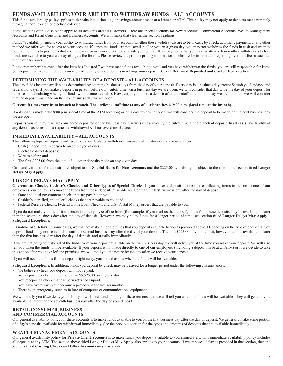## **FUNDS AVAILABILITY: YOUR ABILITY TO WITHDRAW FUNDS – ALL ACCOUNTS**

This funds availability policy applies to deposits into a checking or savings account made at a branch or ATM. This policy may not apply to deposits made remotely through a mobile or other electronic device.

Some sections of this disclosure apply to all accounts and all customers. There are special sections for New Accounts, Commercial Accounts, Wealth Management Accounts and Retail Consumer and Business Accounts. We will make that clear in the section headings.

Funds "availability" means your ability to withdraw funds from your account, whether those withdrawals are to be in cash, by check, automatic payment, or any other method we offer you for access to your account. If deposited funds are not "available" to you on a given day, you may not withdraw the funds in cash and we may not use the funds to pay items that you have written or honor other withdrawals you request. If we pay items that you have written or honor other withdrawals before funds are available to you, we may charge a fee for this. Please review the product pricing information disclosure for information regarding overdraft fees associated with your accounts.

Please remember that even after the item has "cleared," we have made funds available to you, and you have withdrawn the funds, you are still responsible for items you deposit that are returned to us unpaid and for any other problems involving your deposit. See our **Returned Deposited and Cashed Items** section.

## **DETERMINING THE AVAILABILITY OF A DEPOSIT – ALL ACCOUNTS**

The day funds become available is determined by counting business days from the day of your deposit. Every day is a business day except Saturdays, Sundays, and federal holidays. If you make a deposit in person before our "cutoff time" on a business day we are open, we will consider that day to be the day of your deposit for purposes of calculating when your funds will become available. However, if you make a deposit after the cutoff time, or on a day we are not open, we will consider that the deposit was made on the next business day we are open.

#### **Our cutoff times vary from branch to branch. The earliest cutoff time at any of our branches is 2:00 p.m. (local time at the branch).**

If a deposit is made after 8:00 p.m. (local time at the ATM location) or on a day we are not open, we will consider the deposit to be made on the next business day we are open.

Deposits you send by mail are considered deposited on the business day it arrives if it arrives by the cutoff time at the branch of deposit. In all cases, availability of any deposit assumes that a requested withdrawal will not overdraw the account.

#### **IMMEDIATE AVAILABILITY – ALL ACCOUNTS**

The following types of deposits will usually be available for withdrawal immediately under normal circumstances:

- Cash (if deposited in person to an employee of ours);
- Electronic direct deposits;
- Wire transfers; and
- The first \$225.00 from the total of all other deposits made on any given day.

Cash and wire transfer deposits are subject to the **Special Rules for New Accounts** and the \$225.00 availability is subject to the rule in the section titled **Longer Delays May Apply.**

## **LONGER DELAYS MAY APPLY**

**Government Checks, Cashier's Checks, and Other Types of Special Checks.** If you make a deposit of one of the following items in person to one of our employees, our policy is to make the funds from those deposits available no later than the first business day after the day of deposit:

- State and local government checks that are payable to you;
- Cashier's, certified, and teller's checks that are payable to you; and
- Federal Reserve Checks, Federal Home Loan Checks, and U.S. Postal Money orders that are payable to you.

If you do not make your deposit in person to an employee of the bank (for example, if you mail us the deposit), funds from these deposits may be available no later than the second business day after the day of deposit. However, we may delay funds for a longer period of time, see section titled **Longer Delays May Apply – Safeguard Exceptions.**

**Case-by-Case Delays.** In some cases, we will not make all of the funds that you deposit available to you as provided above. Depending on the type of check that you deposit, funds may not be available until the second business day after the day of your deposit. The first \$225.00 of your deposit, however, will be available no later than the first business day after the day of deposit, and usually immediately.

If we are not going to make all of the funds from your deposit available on the first business day, we will notify you at the time you make your deposit. We will also tell you when the funds will be available. If your deposit is not made directly to one of our employees (including a deposit made at an ATM) or if we decide to take this action after you have left the premises, we will mail you the notice by the day after we receive your deposit.

If you will need the funds from a deposit right away, you should ask us when the funds will be available.

**Safeguard Exceptions.** In addition, funds you deposit by check may be delayed for a longer period under the following circumstances:

- We believe a check you deposit will not be paid.
- You deposit checks totaling more than \$5,525.00 on any one day.
- You redeposit a check that has been returned unpaid.
- You have overdrawn your account repeatedly in the last six months.
- There is an emergency, such as failure of computer or communications equipment.

We will notify you if we delay your ability to withdraw funds for any of these reasons, and we will tell you when the funds will be available. They will generally be available no later than the seventh business day after the day of your deposit.

#### **RETAIL CONSUMER, BUSINESS AND COMMERCIAL ACCOUNTS**

Our general availability policy for these accounts is to make funds available to you on the first business day after the day of deposit. We generally make some portion of a day's deposits available for withdrawal immediately. See the previous section for the types and amounts of deposits that are available immediately.

#### **WEALTH MANAGEMENT ACCOUNTS**

Our general availability policy for **Private Client Accounts** is to make funds you deposit available to you immediately. This immediate availability policy includes all deposits at any ATM. The section above titled **Longer Delays May Apply** also applies to your accounts. If we impose a delay as provided in that section, then the sections titled **Cashing Checks** and **Other Accounts** may also apply.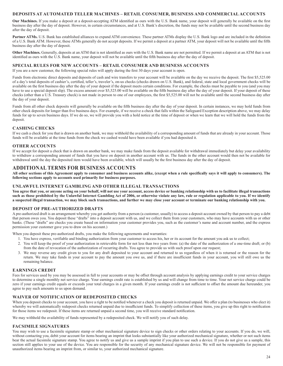## **DEPOSITS AT AUTOMATED TELLER MACHINES – RETAIL CONSUMER, BUSINESS AND COMMERCIAL ACCOUNTS**

**Our Machines.** If you make a deposit at a deposit-accepting ATM identified as ours with the U.S. Bank name, your deposit will generally be available on the first business day after the day of deposit. However, in certain circumstances, and at U.S. Bank's discretion, the funds may not be available until the second business day after the day of deposit.

Partner ATMs. U.S. Bank has established alliances to expand ATM convenience. These partner ATMs display the U.S. Bank logo and are included in the definition of a U.S. Bank ATM. However, these ATMs generally do not accept deposits. If we permit a deposit at a partner ATM, your deposit will not be available until the fifth business day after the day of deposit.

**Other Machines.** Generally, deposits at an ATM that is not identified as ours with the U.S. Bank name are not permitted. If we permit a deposit at an ATM that is not identified as ours with the U.S. Bank name, your deposit will not be available until the fifth business day after the day of deposit.

#### **SPECIAL RULES FOR NEW ACCOUNTS – RETAIL CONSUMER AND BUSINESS ACCOUNTS**

If you are a new customer, the following special rules will apply during the first 30 days your account is open.

Funds from electronic direct deposits and deposits of cash and wire transfers to your account will be available on the day we receive the deposit. The first \$5,525.00 of a day's total deposits of cashier's, certified, teller's, traveler's, on-us checks (checks drawn on U.S. Bank), and federal, state and local government checks will be available on the first business day after the day of your deposit if the deposit meets certain conditions. For example, the checks must be payable to you (and you may have to use a special deposit slip). The excess amount over \$5,525.00 will be available on the fifth business day after the day of your deposit. If your deposit of these checks (other than a U.S. Treasury check) is not made in person to one of our employees, the first \$5,525.00 will not be available until the second business day after the day of your deposit.

Funds from all other check deposits will generally be available on the fifth business day after the day of your deposit. In certain instances, we may hold funds from other check deposits for longer than five business days. For example, if we receive a check that falls within the Safeguard Exception description above, we may delay funds for up to seven business days. If we do so, we will provide you with a hold notice at the time of deposit or when we learn that we will hold the funds from the deposit.

## **CASHING CHECKS**

If we cash a check for you that is drawn on another bank, we may withhold the availability of a corresponding amount of funds that are already in your account. Those funds will be available at the time funds from the check we cashed would have been available if you had deposited it.

## **OTHER ACCOUNTS**

If we accept for deposit a check that is drawn on another bank, we may make funds from the deposit available for withdrawal immediately but delay your availability to withdraw a corresponding amount of funds that you have on deposit in another account with us. The funds in the other account would then not be available for withdrawal until the day the deposited item would have been available, which will usually be the first business day after the day of deposit.

## **ADDITIONAL TERMS FOR BUSINESS ACCOUNTS**

**All other sections of this Agreement apply to consumer and business accounts alike, (except when a rule specifically says it will apply to consumers). The following sections apply to accounts used primarily for business purposes.**

#### **UNLAWFUL INTERNET GAMBLING AND OTHER ILLEGAL TRANSACTIONS**

You agree that you, or anyone acting on your behalf, will not use your account, access device or banking relationship with us to facilitate illegal transactions **such as those prohibited by the Unlawful Internet Gambling Act of 2006, or otherwise violate any law, rule or regulation applicable to you. If we identify a suspected illegal transaction, we may block such transactions, and further we may close your account or terminate our banking relationship with you.**

#### **DEPOSIT OF PRE-AUTHORIZED DRAFTS**

A pre-authorized draft is an arrangement whereby you get authority from a person (a customer, usually) to access a deposit account owned by that person to pay a debt that person owes you. You deposit these "drafts" into a deposit account with us, and we collect them from your customers, who may have accounts with us or other banks. (These "drafts" are checks you create based on information your customer provides you, such as the customer's name and account number, and the express permission your customer gave you to draw on his account.)

When you deposit these pre-authorized drafts, you make the following agreements and warranties:

- 1. You have express, verifiable and binding authorization from your customer to access his, her or its account for the amount you ask us to collect;
- 2. You will keep the proof of your authorization in retrievable form for not less than two years from: (a) the date of the authorization of a one-time draft; or (b) from the date of revocation of the authorization of recurring drafts. You agree to provide us with such proof upon our request;
- 3. We may reverse any credit given to you for any draft deposited to your account and returned to us regardless of when it is returned or the reason for the return. We may take funds in your account to pay the amount you owe us, and if there are insufficient funds in your account, you will still owe us the remaining balance.

#### **EARNINGS CREDIT**

Fees for services used by you may be assessed in full to your accounts or may be offset through account analysis by applying earnings credit to your service charges to determine a single monthly net service charge. Your earnings credit rate is established by us and will change from time to time. Your net service charge could be zero if your earnings credit equals or exceeds your total charges in a given month. If your earnings credit is not sufficient to offset the amount due hereunder, you agree to pay such amounts to us upon demand.

### **WAIVER OF NOTIFICATION OF REDEPOSITED CHECKS**

When you deposit checks to your account, you have a right to be notified whenever a check you deposit is returned unpaid. We offer a plan (to businesses who elect it) whereby we will automatically redeposit checks returned unpaid due to insufficient funds. To simplify collection of these items, you give up this right to notification for those items we redeposit. If these items are returned unpaid a second time, you will receive standard notification.

We may withhold the availability of funds represented by a redeposited check. We will notify you of such delay.

#### **FACSIMILE SIGNATURES**

You may wish to use a facsimile signature stamp or other mechanical signature device to sign checks or other orders relating to your accounts. If you do, we will, without contacting you, debit your account for items bearing an imprint that looks substantially like your authorized mechanical signature, whether or not such items bear the actual facsimile signature stamp. You agree to notify us and give us a sample imprint if you plan to use such a device. If you do not give us a sample, this section still applies to your use of the device. You are responsible for the security of any mechanical signature device. We will not be responsible for payment of unauthorized items bearing an imprint from, or similar to, your authorized mechanical signature.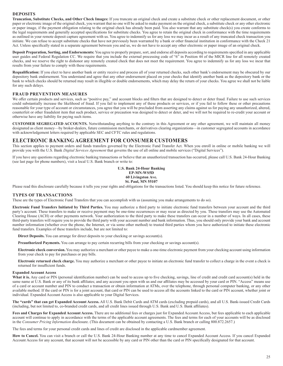#### **DEPOSITS**

**Truncation, Substitute Checks, and Other Check Images:** If you truncate an original check and create a substitute check or other replacement document, or other paper or electronic image of the original check, you warrant that no one will be asked to make payment on the original check, a substitute check or any other electronic or paper image, if the payment obligation relating to the original check has already been paid. You also warrant that any substitute check(s) you create conforms to the legal requirements and generally accepted specifications for substitute checks. You agree to retain the original check in conformance with the time requirements as outlined in your remote deposit capture agreement with us. You agree to indemnify us for any loss we may incur as a result of any truncated check transaction you initiate. We can refuse to accept substitute checks that have not previously been warranted by a bank or other financial institution in conformance with the Check 21 Act. Unless specifically stated in a separate agreement between you and us, we do not have to accept any other electronic or paper image of an original check.

**Deposit Preparation, Sorting, and Endorsements:** You agree to properly prepare, sort, and endorse all deposits according to requirements specified in any applicable user guides and Federal Regulation CC. We require that you include the external processing code of "6" in Position 44 of the MICR line for all remotely created checks, and we reserve the right to dishonor any remotely created check that does not meet the requirement. You agree to indemnify us for any loss we incur that results from your failure to comply with these requirements.

**Requalification:** If you elect to have another bank or entity receive and process all of your returned checks, such other bank's endorsement may be obscured by our depository bank endorsement. You understand and agree that any other endorsement placed on your checks that identify another bank as the depository bank or the bank to which checks should be returned may result in illegible or double endorsements, which may delay the return of your checks. You agree we shall not be liable for any such delays.

#### **FRAUD PREVENTION MEASURES**

We offer certain products and services, such as "positive pay," and account blocks and filters that are designed to detect or deter fraud. Failure to use such services could substantially increase the likelihood of fraud. If you fail to implement any of these products or services, or if you fail to follow these or other precautions reasonable for your type of account or circumstances, you agree that you will be precluded from asserting any claims against us for paying any unauthorized, altered, counterfeit or other fraudulent item that such product, service or precaution was designed to detect or deter, and we will not be required to re-credit your account or otherwise have any liability for paying such items.

**CUSTOMER SEGREGATED ACCOUNTS.** Notwithstanding anything to the contrary in this Agreement or any other agreement, we will maintain all money designated as client money—by broker-dealers, future commission merchants, or derivatives clearing organizations—in customer segregated accounts in accordance with acknowledgement letters required by applicable SEC and CFTC rules and regulations.

## **ELECTRONIC BANKING AGREEMENT FOR CONSUMER CUSTOMERS**

This section applies to payment orders and funds transfers governed by the Electronic Fund Transfer Act. When you enroll in online or mobile banking we will provide you with the U.S. Bank *Digital Services Agreement* that governs the use of all online and mobile services ("Digital Services").

If you have any questions regarding electronic banking transactions or believe that an unauthorized transaction has occurred, please call U.S. Bank 24-Hour Banking (see last page for phone numbers), visit a local U.S. Bank branch or write to:

> **U.S. Bank 24-Hour Banking EP-MN-WS5D 60 Livingston Ave. St. Paul, MN 55107**

Please read this disclosure carefully because it tells you your rights and obligations for the transactions listed. You should keep this notice for future reference.

#### **TYPES OF TRANSACTIONS**

These are the types of Electronic Fund Transfers that you can accomplish with us (assuming you make arrangements to do so).

**Electronic Fund Transfers Initiated by Third Parties.** You may authorize a third party to initiate electronic fund transfers between your account and the third party's account. These transfers to make or receive payment may be one-time occurrences or may recur as directed by you. These transfers may use the Automated Clearing House (ACH) or other payments network. Your authorization to the third party to make these transfers can occur in a number of ways. In all cases, these third-party transfers will require you to provide the third party with your account number and bank information. Thus, you should only provide your bank and account number information (whether over the phone, the Internet, or via some other method) to trusted third parties whom you have authorized to initiate these electronic fund transfers. Examples of these transfers include, but are not limited to:

**Direct Deposits.** You can arrange for direct deposits to your checking or savings account(s).

**Preauthorized Payments.** You can arrange to pay certain recurring bills from your checking or savings account(s).

**Electronic check conversion.** You may authorize a merchant or other payee to make a one-time electronic payment from your checking account using information from your check to pay for purchases or pay bills.

**Electronic returned check charge.** You may authorize a merchant or other payee to initiate an electronic fund transfer to collect a charge in the event a check is returned for insufficient funds.

#### **Expanded Account Access**

What it is. Any card or PIN (personal identification number) can be used to access up to five checking, savings, line of credit and credit card account(s) held in the same name at U.S. Bank or any of its bank affiliates; and any account you open with us and our affiliates may be accessed by your card or PIN. "Access" means use of a card or account number and PIN to conduct a transaction or obtain information at ATMs, over the telephone, through personal computer banking, or any other available method. If the card or PIN is for a joint account, that card or PIN can be used to access all the accounts linked to the card or PIN account, whether joint or individual. Expanded Account Access is also applicable to your Digital Services.

**The "cards" that can get Expanded Account Access.** All U.S. Bank Debit Cards and ATM cards (excluding prepaid cards), and all U.S. Bank-issued Credit Cards (including, but not limited to, co-branded credit cards, and all credit lines issued through U.S. Bank and U.S. Bank affiliates).

**Fees and Charges for Expanded Account Access.** There are no additional fees or charges just for Expanded Account Access, but fees applicable to each applicable account will continue to apply in accordance with the terms of the applicable account agreements. The fees and terms for each of your accounts will be as disclosed in the *Consumer Pricing Information* disclosure. (This document can be obtained by contacting a U.S. Bank branch or calling 800.872.2657.)

The fees and terms for your personal credit cards and lines of credit are disclosed in the applicable cardmember agreement.

How to Cancel. You can visit a branch or call the U.S. Bank 24-Hour Banking number at any time to cancel Expanded Account Access. If you cancel Expanded Account Access for any account, that account will not be accessible by any card or PIN other than the card or PIN specifically designated for that account.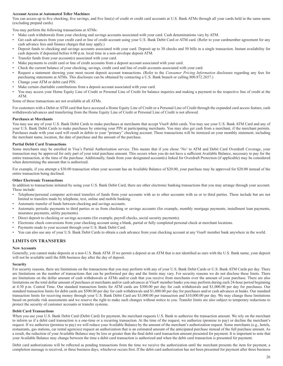#### **Account Access at Automated Teller Machines**

You can access up to five checking, five savings, and five line(s) of credit or credit card accounts at U.S. Bank ATMs through all your cards held in the same name (excluding prepaid cards).

You may perform the following transactions at ATMs:

- Make cash withdrawals from your checking and savings accounts associated with your card. Cash denominations vary by ATM.
- Get cash advances from your credit card or line of credit account using your U.S. Bank Debit Card or ATM card. (Refer to your cardmember agreement for any cash advance fees and finance charges that may apply.)
- Deposit funds to checking and savings accounts associated with your card. Deposit up to 30 checks and 50 bills in a single transaction. Instant availability for cash deposits if deposited before 6:00 p.m. local time in a non-envelope deposit ATM.
- Transfer funds from your account(s) associated with your card.
- Make payments to credit card or line of credit accounts from a deposit account associated with your card.
- Check the current balance of your checking, savings, credit card and line of credit accounts associated with your card.
- Request a statement showing your most recent deposit account transactions. (Refer to the *Consumer Pricing Information* disclosure regarding any fees for purchasing statements at ATMs. This disclosure can be obtained by contacting a U.S. Bank branch or calling 800.872.2657.)
- Change your ATM or debit card PIN.
- Make certain charitable contributions from a deposit account associated with your card.
- You may access your Home Equity Line of Credit or Personal Line of Credit for balance inquiries and making a payment to the respective line of credit at the ATM.

Some of these transactions are not available at all ATMs.

For customers with a Debit or ATM card that have accessed a Home Equity Line of Credit or a Personal Line of Credit through the expanded card access feature, cash withdrawals/advances and transferring from the Home Equity Line of Credit or Personal Line of Credit is not allowed.

#### **Purchases at Merchants**

You may use any of your U.S. Bank Debit Cards to make purchases at merchants that accept Visa® debit cards. You may use your U.S. Bank ATM Card and any of your U.S. Bank Debit Cards to make purchases by entering your PIN at participating merchants. You may also get cash from a merchant, if the merchant permits. Purchases made with your card will result in debits to your "primary" checking account. These transactions will be itemized on your monthly statement, including the merchant name, location, the date of purchase and the amount of the purchase.

#### **Partial Debit Card Transactions**

Some merchants may be enrolled in Visa's Partial Authorization service. This means that if you chose 'No' to ATM and Debit Card Overdraft Coverage, your transaction may be approved for only part of your total purchase amount. This occurs when you do not have a sufficient Available Balance, necessary to pay for the entire transaction, at the time of the purchase. Additionally, funds from your designated account(s) linked for Overdraft Protection (if applicable) may be considered when determining the amount that is authorized.

For example, if you attempt a \$30.00 transaction when your account has an Available Balance of \$20.00, your purchase may be approved for \$20.00 instead of the entire transaction being declined.

#### **Other Electronic Transactions**

In addition to transactions initiated by using your U.S. Bank Debit Card, there are other electronic banking transactions that you may arrange through your account. These include:

- Telephone/personal computer activated transfers of funds from your accounts with us to other accounts with us or to third parties. These include but are not limited to transfers made by telephone, text, online and mobile banking.
- Automatic transfer of funds between checking and savings accounts.
- Automatic periodic payments to third parties or us from checking or savings accounts (for example, monthly mortgage payments, installment loan payments, insurance payments, utility payments).
- Direct deposit to checking or savings accounts (for example, payroll checks, social security payments).
- Electronic check conversions from your checking account using a blank, partial or fully completed personal check at merchant locations.
- Payments made to your account through your U.S. Bank Debit Card.
- You can also use any of your U.S. Bank Debit Cards to obtain a cash advance from your checking account at any Visa® member bank anywhere in the world.

#### **LIMITS ON TRANSFERS**

#### **New Accounts**

Generally, you cannot make deposits at a non-U.S. Bank ATM. If we permit a deposit at an ATM that is not identified as ours with the U.S. Bank name, your deposit will not be available until the fifth business day after the day of deposit.

#### **Security**

For security reasons, there are limitations on the transactions that you may perform with any of your U.S. Bank Debit Cards or U.S. Bank ATM Cards per day. There are limitations on the number of transactions that can be performed per day and the limits may vary. For security reasons we do not disclose these limits. There are limitations on the dollar amount of cash withdrawals at ATMs and/or cash that you receive from merchants over the amount of your purchase. There are also limitations on the total dollar amount of purchases at merchants and/or cash advances at Visa® member banks you may perform during each 24-hour period beginning at 4:30 p.m. Central Time. Our standard transaction limits for ATM cards are \$300.00 per day for cash withdrawals and \$1,000.00 per day for purchases. Our standard transaction limits for debit cards are \$500.00 per day for cash withdrawals and \$1,000.00 per day for purchases and/or cash advances at banks. Our standard transaction limits for receiving money through your U.S. Bank Debit Card are \$3,000.00 per transaction and \$10,000.00 per day. We may change these limitations based on periodic risk assessments and we reserve the right to make such changes without notice to you. Transfer limits are also subject to temporary reductions to protect the security of customer accounts or transfer systems.

#### **Debit Card Transactions**

When you use your U.S. Bank Debit Card (Debit Card) for payment, the merchant requests U.S. Bank to authorize the transaction amount. We rely on the merchant to inform us if a debit card transaction is a one-time or a recurring transaction. At the time of the request, we authorize (promise to pay) or decline the merchant's request. If we authorize (promise to pay) we will reduce your Available Balance by the amount of the merchant's authorization request. Some merchants (e.g., hotels, restaurants, gas stations, car rental agencies) request an authorization that is an estimated amount of the anticipated purchase instead of the full purchase amount. As a result, the reduction of your Available Balance may be less or greater than the final debit card transaction amount presented for payment. It is important to note that your Available Balance may change between the time a debit card transaction is authorized and when the debit card transaction is presented for payment.

Debit card authorizations will be reflected as pending transactions from the time we receive the authorization until the merchant presents the item for payment, a completion message is received, or three business days, whichever occurs first. If the debit card authorization has not been presented for payment after three business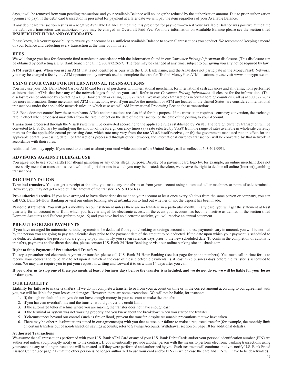days, it will be removed from your pending transactions and your Available Balance will no longer be reduced by the authorization amount. Due to prior authorization (promise to pay), if the debit card transaction is presented for payment at a later date we will pay the item regardless of your Available Balance.

If any debit card transaction results in a negative Available Balance at the time it is presented for payment—even if your Available Balance was positive at the time the debit card transaction was authorized—you may be charged an Overdraft Paid Fee. For more information on Available Balance please see the section titled **INSUFFICIENT FUNDS AND OVERDRAFTS.**

Please know, it is your responsibility to ensure your account has a sufficient Available Balance to cover all transactions you conduct. We recommend keeping a record of your balance and deducting every transaction at the time you initiate it.

#### **FEES**

We will charge you fees for electronic fund transfers in accordance with the information found in our *Consumer Pricing Information* disclosure. (This disclosure can be obtained by contacting a U.S. Bank branch or calling 800.872.2657.) The fees may be changed at any time, subject to our giving you any notice required by law.

**ATM Surcharges.** When you use an ATM that is not identified as ours with the U.S. Bank name, and the ATM does not participate in the MoneyPass® Network, you may be charged a fee by the ATM operator or any network used to complete the transfer. To find MoneyPass ATM locations, please visit www.moneypass.com.

#### **USING YOUR CARD FOR INTERNATIONAL TRANSACTIONS**

You may use your U.S. Bank Debit Card or ATM card for retail purchases with international merchants, for international cash advances and all transactions performed at international ATMs that bear any of the network logos found on your card. Refer to our *Consumer Pricing Information* disclosure for fee information. (This disclosure can be obtained by contacting a U.S. Bank branch or calling 800.872.2657.) We may block transactions in certain foreign countries. Call us at 800.872.2657 for more information. Some merchant and ATM transactions, even if you and/or the merchant or ATM are located in the United States, are considered international transactions under the applicable network rules, in which case we will add International Processing Fees to those transactions.

U.S. Bank does not control how these merchants, ATMs and transactions are classified for this purpose. If the transaction requires a currency conversion, the exchange rate in effect when processed may differ from the rate in effect on the date of the transaction or the date of the posting to your Account.

Transactions processed through the Visa® system will be converted according to the applicable rules established by Visa®. The foreign currency transaction will be converted to U.S. Dollars by multiplying the amount of the foreign currency times (a) a rate selected by Visa® from the range of rates available in wholesale currency markets for the applicable central processing date, which rate may vary from the rate Visa® itself receives, or (b) the government-mandated rate in effect for the applicable central processing date. For transactions processed through other networks, the international currency transaction will be converted by that network in accordance with their rules.

Additional fees may apply. If you need to contact us about your card while outside of the United States, call us collect at 503.401.9991.

#### **ADVISORY AGAINST ILLEGAL USE**

You agree not to use your card(s) for illegal gambling or any other illegal purpose. Display of a payment card logo by, for example, an online merchant does not necessarily mean that transactions are lawful in all jurisdictions in which you may be located; therefore, we reserve the right to decline all online (Internet) gambling transactions.

#### **DOCUMENTATION**

**Terminal transfers.** You can get a receipt at the time you make any transfer to or from your account using automated teller machines or point-of-sale terminals. However, you may not get a receipt if the amount of the transfer is \$15.00 or less.

**Pre-authorized credits.** If you have arranged to have direct deposits made to your account at least once every 60 days from the same person or company, you can call U.S. Bank 24-Hour Banking or visit our online banking site at usbank.com to find out whether or not the deposit has been made.

Periodic statements. You will get a monthly account statement unless there are no transfers in a particular month. In any case, you will get the statement at least quarterly for an account to or from which you have arranged for electronic access. In the event your account has become inactive as defined in the section titled Dormant Accounts and Escheat (refer to page 15) and you have had no electronic activity, you will receive an annual statement.

#### **PREAUTHORIZED PAYMENTS**

If you have arranged for automatic periodic payments to be deducted from your checking or savings account and these payments vary in amount, you will be notified by the person you are going to pay ten calendar days prior to the payment date of the amount to be deducted. If the date upon which your payment is scheduled to be deducted changes, the person you are going to pay will notify you seven calendar days prior to the new scheduled date. To confirm the completion of automatic transfers, payments and/or direct deposits, please contact U.S. Bank 24-Hour Banking or visit our online banking site at usbank.com.

#### **Right to Stop Payment of Preauthorized Transfers**

To stop a preauthorized electronic payment or transfer, please call U.S. Bank 24-Hour Banking (see last page for phone numbers). You must call in time for us to receive your request and to be able to act upon it, which in the case of these electronic payments, is at least three business days before the transfer is scheduled to occur. We may also require you to put your request in writing and forward it to us within 14 days after you call.

#### **If you order us to stop one of these payments at least 3 business days before the transfer is scheduled, and we do not do so, we will be liable for your losses or damages.**

#### **OUR LIABILITY**

Liability for failure to make transfers. If we do not complete a transfer to or from your account on time or in the correct amount according to our agreement with you, we will be liable for your losses or damages. However, there are some exceptions. We will not be liable, for instance:

- 1. If, through no fault of ours, you do not have enough money in your account to make the transfer.
- 2. If you have an overdraft line and the transfer would go over the credit limit.
- 3. If the automated teller machine where you are making the transfer does not have enough cash.
- 4. If the terminal or system was not working properly and you knew about the breakdown when you started the transfer.
- 5. If circumstances beyond our control (such as fire or flood) prevent the transfer, despite reasonable precautions that we have taken.
- 6. There may be other rules/limitations stated in our agreement(s) with you that excuse our failure to make a requested transfer (for example, the monthly limit on certain transfers out of non-transaction savings accounts; refer to Savings Accounts, Withdrawal section on page 18 for additional details).

#### **Authorized Transactions**

We assume that all transactions performed with your U.S. Bank ATM Card or any of your U.S. Bank Debit Cards and/or your personal identification number (PIN) are authorized unless you promptly notify us to the contrary. If you intentionally provide another person with the means to perform electronic banking transactions using your account, any resulting transactions will be treated as if they were performed and authorized by you. Such treatment will continue until you notify U.S. Bank Fraud Liaison Center (see page 31) that the other person is no longer authorized to use your card and/or PIN (in which case the card and PIN will have to be deactivated).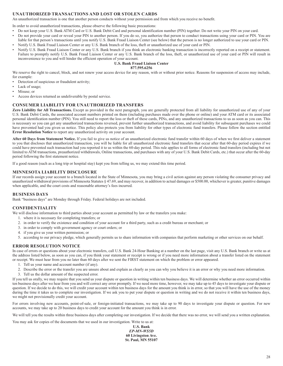## **UNAUTHORIZED TRANSACTIONS AND LOST OR STOLEN CARDS**

An unauthorized transaction is one that another person conducts without your permission and from which you receive no benefit.

In order to avoid unauthorized transactions, please observe the following basic precautions:

- Do not keep your U.S. Bank ATM Card or U.S. Bank Debit Card and personal identification number (PIN) together. Do not write your PIN on your card.
- Do not provide your card or reveal your PIN to another person. If you do so, you authorize that person to conduct transactions using your card or PIN. You are liable for that person's transactions until you notify U.S. Bank Fraud Liaison Center (see below) that the person is no longer authorized to use your card or PIN.
- Notify U.S. Bank Fraud Liaison Center or any U.S. Bank branch of the loss, theft or unauthorized use of your card or PIN.
- Notify U.S. Bank Fraud Liaison Center or any U.S. Bank branch if you think an electronic banking transaction is incorrectly reported on a receipt or statement. Failure to promptly notify U.S. Bank Fraud Liaison Center or any U.S. Bank branch of the loss, theft, or unauthorized use of your card or PIN will result in inconvenience to you and will hinder the efficient operation of your account.

## **U.S. Bank Fraud Liaison Center**

## **877.595.6256**

We reserve the right to cancel, block, and not renew your access device for any reason, with or without prior notice. Reasons for suspension of access may include, for example:

• Detection of suspicious or fraudulent activity;

- Lack of usage;
- Misuse; or
- Access devices returned as undeliverable by postal service.

#### **CONSUMER LIABILITY FOR UNAUTHORIZED TRANSFERS**

**Zero Liability for All Transactions.** Except as provided in the next paragraph, you are generally protected from all liability for unauthorized use of any of your U.S. Bank Debit Cards, the associated account numbers printed on them (including purchases made over the phone or online) and your ATM card or its associated personal identification number (PIN). You still need to report the loss or theft of these cards, PINs, and any unauthorized transactions to us as soon as you can. This is necessary so you can get any unauthorized transactions reversed, prevent further unauthorized transactions, and avoid liability for subsequent purchases we could have prevented had you given us notice. This policy also protects you from liability for other types of electronic fund transfers. Please follow the section entitled **Error Resolution Notice** to report any unauthorized activity on your account.

**After 60 Days from Statement Notice.** If you fail to give us notice of an unauthorized electronic fund transfer within 60 days of when we first deliver a statement to you that discloses that unauthorized transaction, you will be liable for all unauthorized electronic fund transfers that occur after that 60-day period expires if we could have prevented such transaction had you reported it to us within the 60-day period. This rule applies to all forms of electronic fund transfers (including but not limited to ATM transactions, preauthorized withdrawals, Online transactions, and purchases with any of your U.S. Bank Debit Cards, etc.) that occur after the 60-day period following the first statement notice.

If a good reason (such as a long trip or hospital stay) kept you from telling us, we may extend this time period.

#### **MINNESOTA LIABILITY DISCLOSURE**

If our records assign your account to a branch located in the State of Minnesota, you may bring a civil action against any person violating the consumer privacy and unauthorized withdrawal provisions of Minnesota Statutes § 47.69, and may recover, in addition to actual damages or \$500.00, whichever is greater, punitive damages when applicable, and the court costs and reasonable attorney's fees incurred.

#### **BUSINESS DAYS**

Bank "business days" are Monday through Friday. Federal holidays are not included.

#### **CONFIDENTIALITY**

- We will disclose information to third parties about your account as permitted by law or the transfers you make:
	- 1. where it is necessary for completing transfers; or
	- 2. in order to verify the existence and condition of your account for a third party, such as a credit bureau or merchant; or
	- 3. in order to comply with government agency or court orders; or
	- 4. if you give us your written permission; or
	- 5. according to our privacy pledge, which generally permits us to share information with companies that perform marketing or other services on our behalf.

#### **ERROR RESOLUTION NOTICE**

In case of errors or questions about your electronic transfers, call U.S. Bank 24-Hour Banking at a number on the last page, visit any U.S. Bank branch or write us at the address listed below, as soon as you can, if you think your statement or receipt is wrong or if you need more information about a transfer listed on the statement or receipt. We must hear from you no later than 60 days after we sent the FIRST statement on which the problem or error appeared.

- 1. Tell us your name and account number (if any).
- 2. Describe the error or the transfer you are unsure about and explain as clearly as you can why you believe it is an error or why you need more information.
- 3. Tell us the dollar amount of the suspected error.

If you tell us orally, we may require that you send us your dispute or question in writing within ten business days. We will determine whether an error occurred within ten business days after we hear from you and will correct any error promptly. If we need more time, however, we may take up to 45 days to investigate your dispute or question. If we decide to do this, we will credit your account within ten business days for the amount you think is in error, so that you will have the use of the money during the time it takes us to complete our investigation. If we ask you to put your dispute or question in writing and we do not receive it within ten business days, we might not provisionally credit your account.

For errors involving new accounts, point-of-sale, or foreign-initiated transactions, we may take up to 90 days to investigate your dispute or question. For new accounts, we may take up to 20 business days to credit your account for the amount you think is in error.

We will tell you the results within three business days after completing our investigation. If we decide that there was no error, we will send you a written explanation.

You may ask for copies of the documents that we used in our investigation. Write to us at:

**U.S. Bank** *EP-MN-WS5D* **60 Livingston Ave. St. Paul, MN 55107**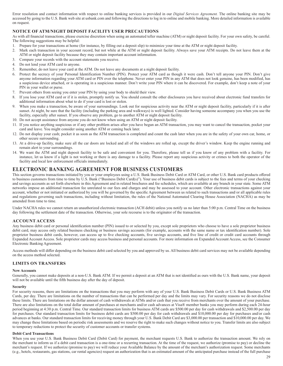Error resolution and contact information with respect to online banking services is provided in our *Digital Services Agreement.* The online banking site may be accessed by going to the U.S. Bank web site at usbank.com and following the directions to log in to online and mobile banking. More detailed information is available on request.

## **NOTICE OF ATM/NIGHT DEPOSIT FACILITY USER PRECAUTIONS**

As with all financial transactions, please exercise discretion when using an automated teller machine (ATM) or night deposit facility. For your own safety, be careful. The following suggestions may be helpful:

- 1. Prepare for your transactions at home (for instance, by filling out a deposit slip) to minimize your time at the ATM or night deposit facility.
- 2. Mark each transaction in your account record, but not while at the ATM or night deposit facility. Always save your ATM receipts. Do not leave them at the ATM or night deposit facility because they may contain important account information.
- 3. Compare your records with the account statements you receive.
- 4. Do not lend your ATM card to anyone.
- 5. Remember, do not leave your card at the ATM. Do not leave any documents at a night deposit facility.
- 6. Protect the secrecy of your Personal Identification Number (PIN). Protect your ATM card as though it were cash. Don't tell anyone your PIN. Don't give anyone information regarding your ATM card or PIN over the telephone. Never enter your PIN in any ATM that does not look genuine, has been modified, has a suspicious device attached, or is operating in a suspicious manner. Don't write your PIN where it can be discovered. For example, don't keep a note of your PIN in your wallet or purse.
- 7. Prevent others from seeing you enter your PIN by using your body to shield their view.
- 8. If you lose your ATM card or if it is stolen, promptly notify us. You should consult the other disclosures you have received about electronic fund transfers for additional information about what to do if your card is lost or stolen.
- 9. When you make a transaction, be aware of your surroundings. Look out for suspicious activity near the ATM or night deposit facility, particularly if it is after sunset. At night, be sure that the facility (including the parking area and walkways) is well lighted. Consider having someone accompany you when you use the facility, especially after sunset. If you observe any problem, go to another ATM or night deposit facility.
- 10. Do not accept assistance from anyone you do not know when using an ATM or night deposit facility.
- 11. If you notice anything suspicious or if any other problem arises after you have begun an ATM transaction, you may want to cancel the transaction, pocket your card and leave. You might consider using another ATM or coming back later.
- 12. Do not display your cash; pocket it as soon as the ATM transaction is completed and count the cash later when you are in the safety of your own car, home, or other secure surrounding.
- 13. At a drive-up facility, make sure all the car doors are locked and all of the windows are rolled up, except the driver's window. Keep the engine running and remain alert to your surroundings.
- 14. We want the ATM and night deposit facility to be safe and convenient for you. Therefore, please tell us if you know of any problem with a facility. For instance, let us know if a light is not working or there is any damage to a facility. Please report any suspicious activity or crimes to both the operator of the facility and local law enforcement officials immediately.

## **ELECTRONIC BANKING AGREEMENT FOR BUSINESS CUSTOMERS**

This section governs transactions initiated by you or your employees using a U.S. Bank Business Debit Card or ATM Card, or other U.S. Bank card products offered to business customers from time to time by U.S. Bank ("Business Debit Card(s)"). Your use of business debit cards is subject to the fees and terms of your checking and savings accounts as set forth elsewhere in this Agreement and in related brochures and fee schedules, which are available at any branch in your state. Some ATM networks impose an additional transaction fee unrelated to our fees and charges and may be assessed to your account. Other electronic transactions against your account, whether or not initiated or authorized by you will be governed by the specific Agreement between us related to such transactions and/ or all applicable rules and regulations governing such transactions, including without limitation, the rules of the National Automated Clearing House Association (NACHA) as may be amended from time to time.

Under NACHA rules we cannot return an unauthorized electronic transaction (ACH debit) unless you notify us no later than 5:00 p.m. Central Time on the business day following the settlement date of the transaction. Otherwise, your sole recourse is to the originator of the transaction.

#### **ACCOUNT ACCESS**

Any business debit card or personal identification number (PIN) issued to or selected by you, except sole proprietors who choose to have a sole proprietor business debit card, may access only related business checking or business savings accounts (for example, accounts with the same name or tax identification number). Sole proprietor business debit cards, however, can access up to five checking accounts, five savings accounts, and five line of credit or credit card accounts through Expanded Account Access. Sole proprietor cards may access business and personal accounts. For more information on Expanded Account Access, see the Consumer Electronic Banking Agreement.

Access methods will differ depending on the business debit card selected by you and approved by us. All business debit card services may not be available depending on the access method selected.

#### **LIMITS ON TRANSFERS**

#### **New Accounts**

Generally, you cannot make deposits at a non-U.S. Bank ATM. If we permit a deposit at an ATM that is not identified as ours with the U.S. Bank name, your deposit will not be available until the fifth business day after the day of deposit.

#### **Security**

For security reasons, there are limitations on the transactions that you may perform with any of your U.S. Bank Business Debit Cards or U.S. Bank Business ATM Cards, per day. There are limitations on the number of transactions that can be performed per day and the limits may vary. For security reasons we do not disclose these limits. There are limitations on the dollar amount of cash withdrawals at ATMs and/or cash that you receive from merchants over the amount of your purchase. There are also limitations on the total dollar amount of purchases at merchants and/or cash advances at Visa® member banks you may perform during each 24-hour period beginning at 4:30 p.m. Central Time. Our standard transaction limits for business ATM cards are \$500.00 per day for cash withdrawals and \$2,500.00 per day for purchases. Our standard transaction limits for business debit cards are \$500.00 per day for cash withdrawals and \$10,000.00 per day for purchases and/or cash advances at banks. Our standard transaction limits for receiving money through your U.S. Bank Debit Card are \$3,000.00 per transaction and \$10,000.00 per day. We may change these limitations based on periodic risk assessments and we reserve the right to make such changes without notice to you. Transfer limits are also subject to temporary reductions to protect the security of customer accounts or transfer systems.

#### **Debit Card Transactions**

When you use your U.S. Bank Business Debit Card (Debit Card) for payment, the merchant requests U.S. Bank to authorize the transaction amount. We rely on the merchant to inform us if a debit card transaction is a one-time or a recurring transaction. At the time of the request, we authorize (promise to pay) or decline the merchant's request. If we authorize (promise to pay) we will reduce your Available Balance by the amount of the merchant's authorization request. Some merchants (e.g., hotels, restaurants, gas stations, car rental agencies) request an authorization that is an estimated amount of the anticipated purchase instead of the full purchase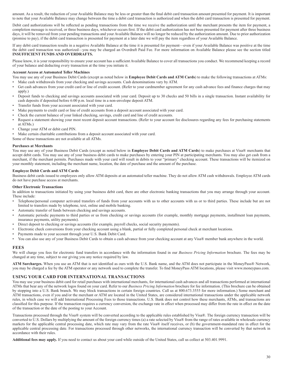amount. As a result, the reduction of your Available Balance may be less or greater than the final debit card transaction amount presented for payment. It is important to note that your Available Balance may change between the time a debit card transaction is authorized and when the debit card transaction is presented for payment.

Debit card authorizations will be reflected as pending transactions from the time we receive the authorization until the merchant presents the item for payment, a completion message is received, or three business days, whichever occurs first. If the debit card authorization has not been presented for payment after three business days, it will be removed from your pending transactions and your Available Balance will no longer be reduced by the authorization amount. Due to prior authorization (promise to pay), if the debit card transaction is presented for payment at a later date we will pay the item regardless of your Available Balance.

If any debit card transaction results in a negative Available Balance at the time it is presented for payment—even if your Available Balance was positive at the time the debit card transaction was authorized—you may be charged an Overdraft Paid Fee. For more information on Available Balance please see the section titled **INSUFFICIENT FUNDS AND OVERDRAFTS.**

Please know, it is your responsibility to ensure your account has a sufficient Available Balance to cover all transactions you conduct. We recommend keeping a record of your balance and deducting every transaction at the time you initiate it.

#### **Account Access at Automated Teller Machines**

You may use any of your Business Debit Cards (except as noted below in **Employee Debit Cards and ATM Cards**) to make the following transactions at ATMs:

- Make cash withdrawals from your checking and savings accounts. Cash denominations vary by ATM.
- Get cash advances from your credit card or line of credit account. (Refer to your cardmember agreement for any cash advance fees and finance charges that may apply.)
- Deposit funds to checking and savings accounts associated with your card. Deposit up to 30 checks and 50 bills in a single transaction. Instant availability for cash deposits if deposited before 6:00 p.m. local time in a non-envelope deposit ATM.
- Transfer funds from your account associated with your card.
- Make payments to credit card or line of credit accounts from a deposit account associated with your card.
- Check the current balance of your linked checking, savings, credit card and line of credit accounts.
- Request a statement showing your most recent deposit account transactions. (Refer to your account fee disclosures regarding any fees for purchasing statements at ATMs.)
- Change your ATM or debit card PIN.
- Make certain charitable contributions from a deposit account associated with your card.

Some of these transactions are not available at all ATMs.

#### **Purchases at Merchants**

You may use any of your Business Debit Cards (except as noted below in **Employee Debit Cards and ATM Cards**) to make purchases at Visa® merchants that accept debit cards. You may use any of your business debit cards to make purchases by entering your PIN at participating merchants. You may also get cash from a merchant, if the merchant permits. Purchases made with your card will result in debits to your "primary" checking account. These transactions will be itemized on your monthly statement, including the merchant name, location, the date of purchase and the amount of the purchase.

#### **Employee Debit Cards and ATM Cards**

Business debit cards issued to employees only allow ATM deposits at an automated teller machine. They do not allow ATM cash withdrawals. Employee ATM cards do not have purchase access at merchants.

#### **Other Electronic Transactions**

In addition to transactions initiated by using your business debit card, there are other electronic banking transactions that you may arrange through your account. These include:

- Telephone/personal computer activated transfers of funds from your accounts with us to other accounts with us or to third parties. These include but are not limited to transfers made by telephone, text, online and mobile banking.
- Automatic transfer of funds between checking and savings accounts.
- Automatic periodic payments to third parties or us from checking or savings accounts (for example, monthly mortgage payments, installment loan payments, insurance payments, utility payments).
- Direct deposit to checking or savings accounts (for example, payroll checks, social security payments).
- Electronic check conversions from your checking account using a blank, partial or fully completed personal check at merchant locations.
- Payments made to your account through your U.S. Bank Debit Card.
- You can also use any of your Business Debit Cards to obtain a cash advance from your checking account at any Visa® member bank anywhere in the world.

#### **FEES**

We will charge you fees for electronic fund transfers in accordance with the information found in our *Business Pricing Information* brochure. The fees may be changed at any time, subject to our giving you any notice required by law.

**ATM Surcharges.** When you use an ATM that is not identified as ours with the U.S. Bank name, and the ATM does not participate in the MoneyPass® Network, you may be charged a fee by the ATM operator or any network used to complete the transfer. To find MoneyPass ATM locations, please visit www.moneypass.com.

#### **USING YOUR CARD FOR INTERNATIONAL TRANSACTIONS**

You may use your business debit card for retail purchases with international merchants, for international cash advances and all transactions performed at international ATMs that bear any of the network logos found on your card. Refer to our *Business Pricing Information* brochure for fee information. (This brochure can be obtained by stopping into a U.S. Bank branch. We may block transactions in certain foreign countries. Call us at 800.673.3555 for more information.) Some merchant and ATM transactions, even if you and/or the merchant or ATM are located in the United States, are considered international transactions under the applicable network rules, in which case we will add International Processing Fees to those transactions. U.S. Bank does not control how these merchants, ATMs, and transactions are classified for this purpose. If the transaction requires a currency conversion, the exchange rate in effect when processed may differ from the rate in effect on the date of the transaction or the date of the posting to your Account.

Transactions processed through the Visa® system will be converted according to the applicable rules established by Visa®. The foreign currency transaction will be converted to U.S. Dollars by multiplying the amount of the foreign currency times (a) a rate selected by Visa® from the range of rates available in wholesale currency markets for the applicable central processing date, which rate may vary from the rate Visa® itself receives, or (b) the government-mandated rate in effect for the applicable central processing date. For transactions processed through other networks, the international currency transaction will be converted by that network in accordance with their rules.

**Additional fees may apply.** If you need to contact us about your card while outside of the United States, call us collect at 503.401.9991.